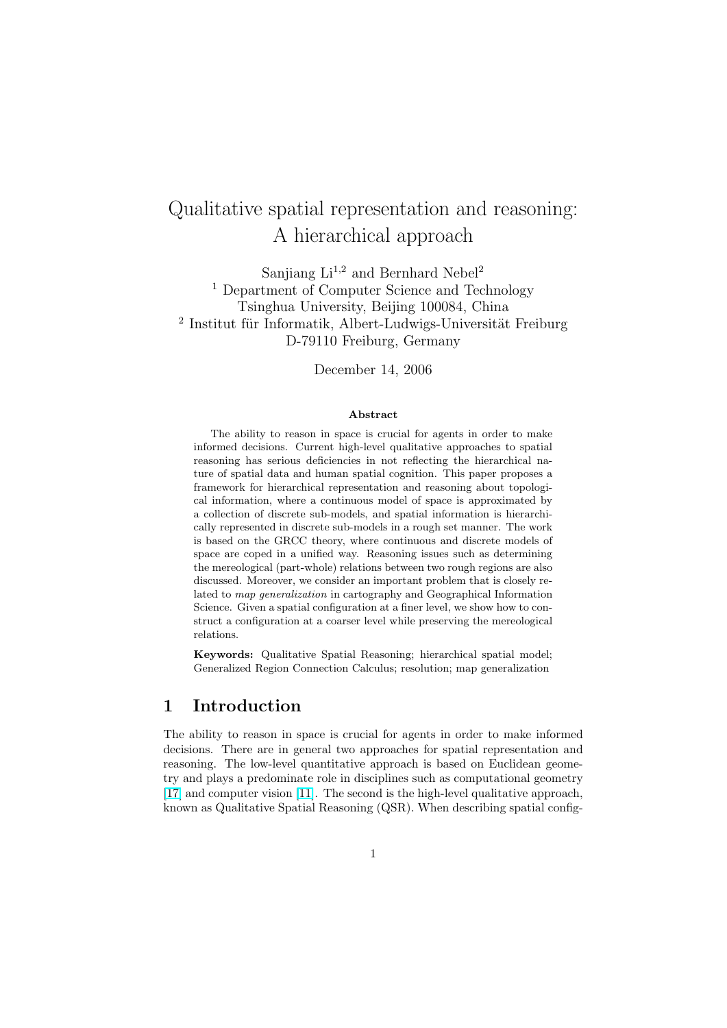# Qualitative spatial representation and reasoning: A hierarchical approach

Sanjiang  $Li^{1,2}$  and Bernhard Nebel<sup>2</sup> <sup>1</sup> Department of Computer Science and Technology Tsinghua University, Beijing 100084, China <sup>2</sup> Institut für Informatik, Albert-Ludwigs-Universität Freiburg D-79110 Freiburg, Germany

December 14, 2006

#### Abstract

The ability to reason in space is crucial for agents in order to make informed decisions. Current high-level qualitative approaches to spatial reasoning has serious deficiencies in not reflecting the hierarchical nature of spatial data and human spatial cognition. This paper proposes a framework for hierarchical representation and reasoning about topological information, where a continuous model of space is approximated by a collection of discrete sub-models, and spatial information is hierarchically represented in discrete sub-models in a rough set manner. The work is based on the GRCC theory, where continuous and discrete models of space are coped in a unified way. Reasoning issues such as determining the mereological (part-whole) relations between two rough regions are also discussed. Moreover, we consider an important problem that is closely related to map generalization in cartography and Geographical Information Science. Given a spatial configuration at a finer level, we show how to construct a configuration at a coarser level while preserving the mereological relations.

Keywords: Qualitative Spatial Reasoning; hierarchical spatial model; Generalized Region Connection Calculus; resolution; map generalization

### 1 Introduction

The ability to reason in space is crucial for agents in order to make informed decisions. There are in general two approaches for spatial representation and reasoning. The low-level quantitative approach is based on Euclidean geometry and plays a predominate role in disciplines such as computational geometry [\[17\]](#page-22-0) and computer vision [\[11\]](#page-21-0). The second is the high-level qualitative approach, known as Qualitative Spatial Reasoning (QSR). When describing spatial config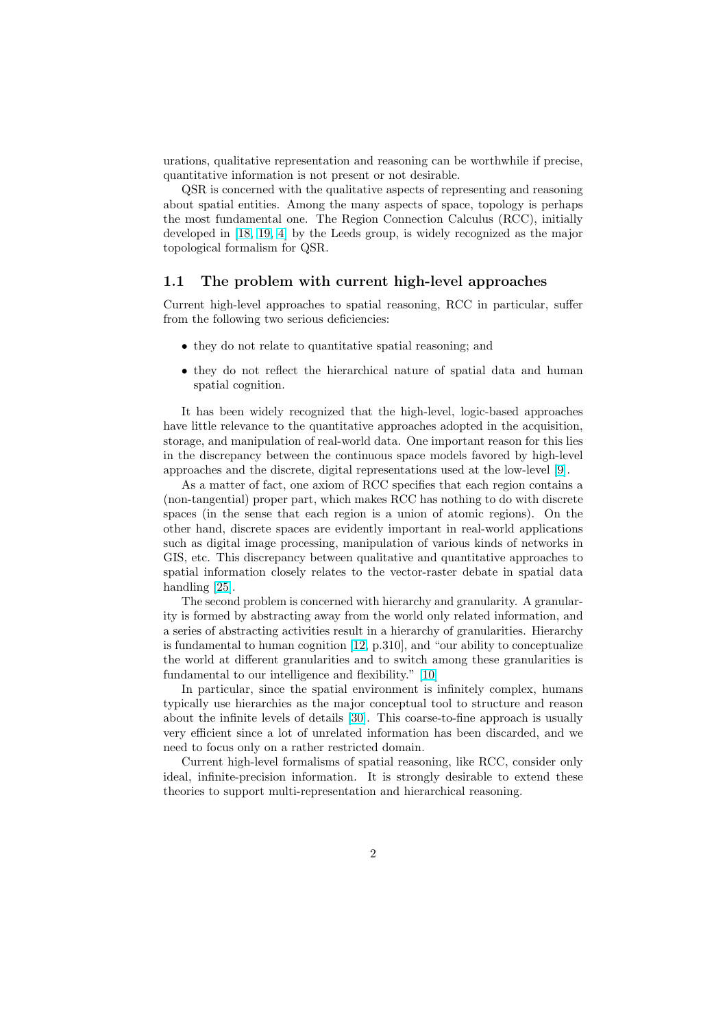urations, qualitative representation and reasoning can be worthwhile if precise, quantitative information is not present or not desirable.

QSR is concerned with the qualitative aspects of representing and reasoning about spatial entities. Among the many aspects of space, topology is perhaps the most fundamental one. The Region Connection Calculus (RCC), initially developed in [\[18,](#page-22-0) [19,](#page-22-0) [4\]](#page-21-0) by the Leeds group, is widely recognized as the major topological formalism for QSR.

#### 1.1 The problem with current high-level approaches

Current high-level approaches to spatial reasoning, RCC in particular, suffer from the following two serious deficiencies:

- they do not relate to quantitative spatial reasoning; and
- they do not reflect the hierarchical nature of spatial data and human spatial cognition.

It has been widely recognized that the high-level, logic-based approaches have little relevance to the quantitative approaches adopted in the acquisition, storage, and manipulation of real-world data. One important reason for this lies in the discrepancy between the continuous space models favored by high-level approaches and the discrete, digital representations used at the low-level [\[9\]](#page-21-0).

As a matter of fact, one axiom of RCC specifies that each region contains a (non-tangential) proper part, which makes RCC has nothing to do with discrete spaces (in the sense that each region is a union of atomic regions). On the other hand, discrete spaces are evidently important in real-world applications such as digital image processing, manipulation of various kinds of networks in GIS, etc. This discrepancy between qualitative and quantitative approaches to spatial information closely relates to the vector-raster debate in spatial data handling [\[25\]](#page-22-0).

The second problem is concerned with hierarchy and granularity. A granularity is formed by abstracting away from the world only related information, and a series of abstracting activities result in a hierarchy of granularities. Hierarchy is fundamental to human cognition [\[12,](#page-21-0) p.310], and "our ability to conceptualize the world at different granularities and to switch among these granularities is fundamental to our intelligence and flexibility." [\[10\]](#page-21-0)

In particular, since the spatial environment is infinitely complex, humans typically use hierarchies as the major conceptual tool to structure and reason about the infinite levels of details [\[30\]](#page-23-0). This coarse-to-fine approach is usually very efficient since a lot of unrelated information has been discarded, and we need to focus only on a rather restricted domain.

Current high-level formalisms of spatial reasoning, like RCC, consider only ideal, infinite-precision information. It is strongly desirable to extend these theories to support multi-representation and hierarchical reasoning.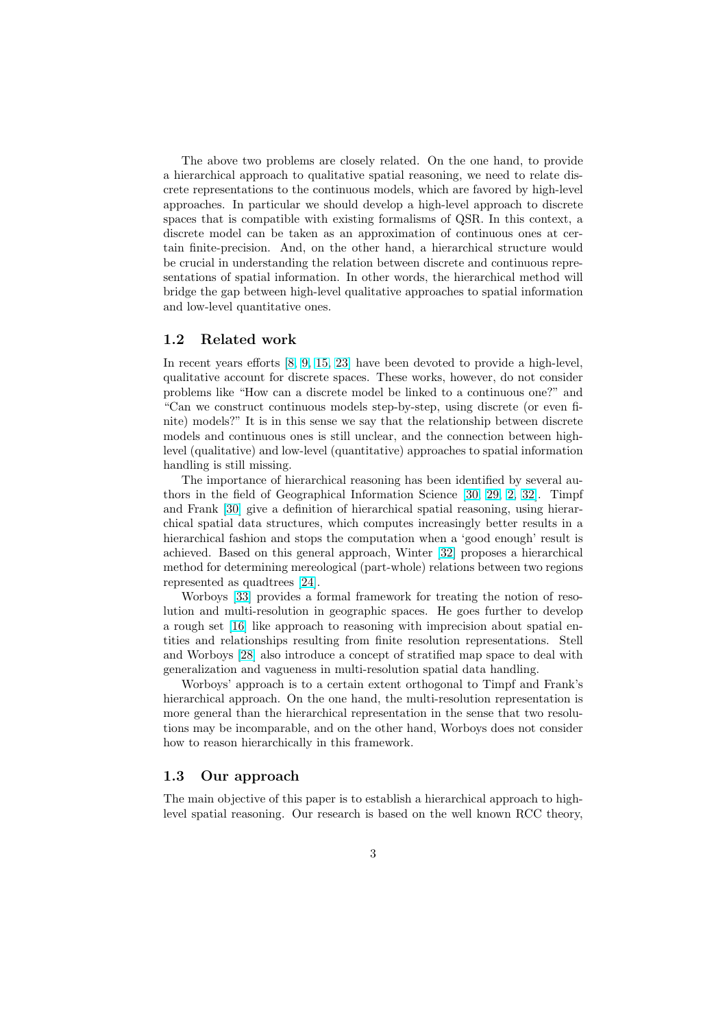The above two problems are closely related. On the one hand, to provide a hierarchical approach to qualitative spatial reasoning, we need to relate discrete representations to the continuous models, which are favored by high-level approaches. In particular we should develop a high-level approach to discrete spaces that is compatible with existing formalisms of QSR. In this context, a discrete model can be taken as an approximation of continuous ones at certain finite-precision. And, on the other hand, a hierarchical structure would be crucial in understanding the relation between discrete and continuous representations of spatial information. In other words, the hierarchical method will bridge the gap between high-level qualitative approaches to spatial information and low-level quantitative ones.

### 1.2 Related work

In recent years efforts [\[8,](#page-21-0) [9,](#page-21-0) [15,](#page-22-0) [23\]](#page-22-0) have been devoted to provide a high-level, qualitative account for discrete spaces. These works, however, do not consider problems like "How can a discrete model be linked to a continuous one?" and "Can we construct continuous models step-by-step, using discrete (or even finite) models?" It is in this sense we say that the relationship between discrete models and continuous ones is still unclear, and the connection between highlevel (qualitative) and low-level (quantitative) approaches to spatial information handling is still missing.

The importance of hierarchical reasoning has been identified by several authors in the field of Geographical Information Science [\[30,](#page-23-0) [29,](#page-23-0) [2,](#page-21-0) [32\]](#page-23-0). Timpf and Frank [\[30\]](#page-23-0) give a definition of hierarchical spatial reasoning, using hierarchical spatial data structures, which computes increasingly better results in a hierarchical fashion and stops the computation when a 'good enough' result is achieved. Based on this general approach, Winter [\[32\]](#page-23-0) proposes a hierarchical method for determining mereological (part-whole) relations between two regions represented as quadtrees [\[24\]](#page-22-0).

Worboys [\[33\]](#page-23-0) provides a formal framework for treating the notion of resolution and multi-resolution in geographic spaces. He goes further to develop a rough set [\[16\]](#page-22-0) like approach to reasoning with imprecision about spatial entities and relationships resulting from finite resolution representations. Stell and Worboys [\[28\]](#page-23-0) also introduce a concept of stratified map space to deal with generalization and vagueness in multi-resolution spatial data handling.

Worboys' approach is to a certain extent orthogonal to Timpf and Frank's hierarchical approach. On the one hand, the multi-resolution representation is more general than the hierarchical representation in the sense that two resolutions may be incomparable, and on the other hand, Worboys does not consider how to reason hierarchically in this framework.

#### 1.3 Our approach

The main objective of this paper is to establish a hierarchical approach to highlevel spatial reasoning. Our research is based on the well known RCC theory,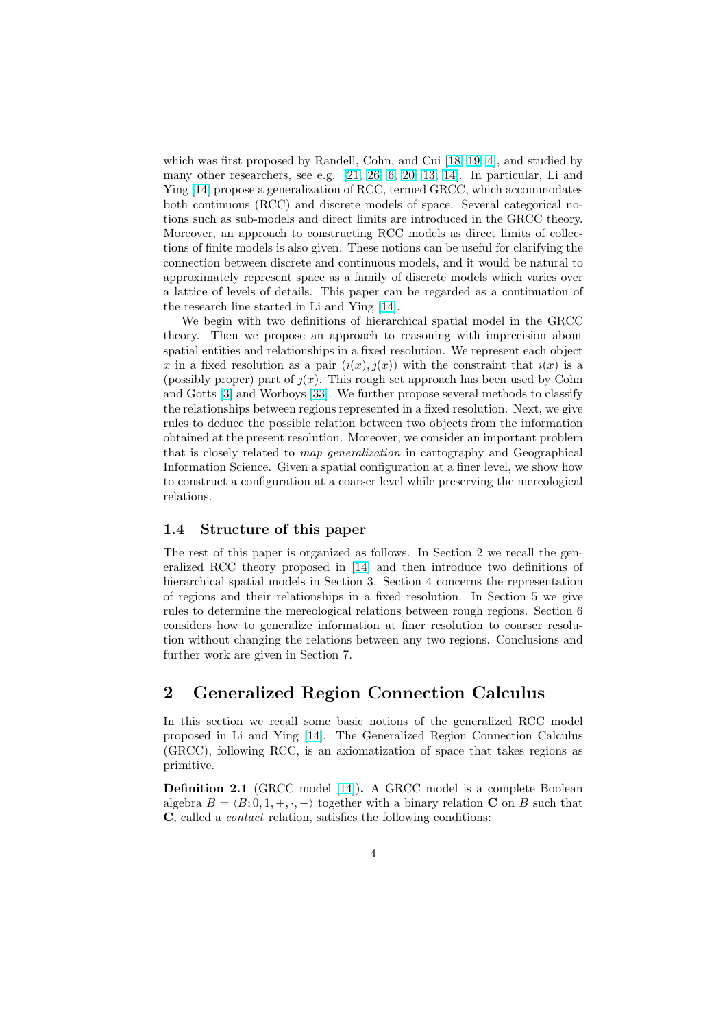<span id="page-3-0"></span>which was first proposed by Randell, Cohn, and Cui [\[18,](#page-22-0) [19,](#page-22-0) [4\]](#page-21-0), and studied by many other researchers, see e.g. [\[21,](#page-22-0) [26,](#page-22-0) [6,](#page-21-0) [20,](#page-22-0) [13,](#page-21-0) [14\]](#page-22-0). In particular, Li and Ying [\[14\]](#page-22-0) propose a generalization of RCC, termed GRCC, which accommodates both continuous (RCC) and discrete models of space. Several categorical notions such as sub-models and direct limits are introduced in the GRCC theory. Moreover, an approach to constructing RCC models as direct limits of collections of finite models is also given. These notions can be useful for clarifying the connection between discrete and continuous models, and it would be natural to approximately represent space as a family of discrete models which varies over a lattice of levels of details. This paper can be regarded as a continuation of the research line started in Li and Ying [\[14\]](#page-22-0).

We begin with two definitions of hierarchical spatial model in the GRCC theory. Then we propose an approach to reasoning with imprecision about spatial entities and relationships in a fixed resolution. We represent each object x in a fixed resolution as a pair  $(i(x), j(x))$  with the constraint that  $i(x)$  is a (possibly proper) part of  $y(x)$ . This rough set approach has been used by Cohn and Gotts [\[3\]](#page-21-0) and Worboys [\[33\]](#page-23-0). We further propose several methods to classify the relationships between regions represented in a fixed resolution. Next, we give rules to deduce the possible relation between two objects from the information obtained at the present resolution. Moreover, we consider an important problem that is closely related to map generalization in cartography and Geographical Information Science. Given a spatial configuration at a finer level, we show how to construct a configuration at a coarser level while preserving the mereological relations.

#### 1.4 Structure of this paper

The rest of this paper is organized as follows. In Section 2 we recall the generalized RCC theory proposed in [\[14\]](#page-22-0) and then introduce two definitions of hierarchical spatial models in Section 3. Section 4 concerns the representation of regions and their relationships in a fixed resolution. In Section 5 we give rules to determine the mereological relations between rough regions. Section 6 considers how to generalize information at finer resolution to coarser resolution without changing the relations between any two regions. Conclusions and further work are given in Section 7.

### 2 Generalized Region Connection Calculus

In this section we recall some basic notions of the generalized RCC model proposed in Li and Ying [\[14\]](#page-22-0). The Generalized Region Connection Calculus (GRCC), following RCC, is an axiomatization of space that takes regions as primitive.

Definition 2.1 (GRCC model [\[14\]](#page-22-0)). A GRCC model is a complete Boolean algebra  $B = \langle B; 0, 1, +, \cdot, - \rangle$  together with a binary relation C on B such that C, called a contact relation, satisfies the following conditions: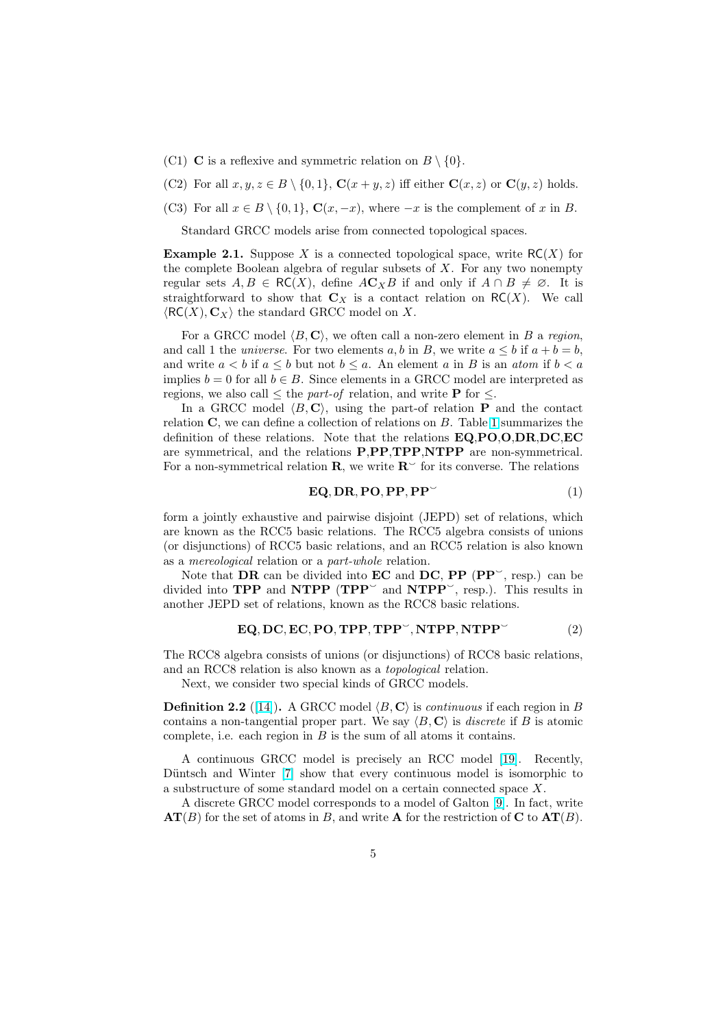- <span id="page-4-0"></span>(C1) **C** is a reflexive and symmetric relation on  $B \setminus \{0\}.$
- (C2) For all  $x, y, z \in B \setminus \{0, 1\}$ ,  $\mathbf{C}(x + y, z)$  iff either  $\mathbf{C}(x, z)$  or  $\mathbf{C}(y, z)$  holds.
- (C3) For all  $x \in B \setminus \{0, 1\}$ ,  $\mathbf{C}(x, -x)$ , where  $-x$  is the complement of x in B.

Standard GRCC models arise from connected topological spaces.

**Example 2.1.** Suppose X is a connected topological space, write  $RC(X)$  for the complete Boolean algebra of regular subsets of  $X$ . For any two nonempty regular sets  $A, B \in RC(X)$ , define  $AC_XB$  if and only if  $A \cap B \neq \emptyset$ . It is straightforward to show that  $\mathbf{C}_X$  is a contact relation on  $\mathsf{RC}(X)$ . We call  $\langle \mathsf{RC}(X), \mathbf{C}_X \rangle$  the standard GRCC model on X.

For a GRCC model  $\langle B, \mathbf{C} \rangle$ , we often call a non-zero element in B a region, and call 1 the *universe*. For two elements a, b in B, we write  $a \leq b$  if  $a + b = b$ , and write  $a < b$  if  $a \leq b$  but not  $b \leq a$ . An element a in B is an atom if  $b < a$ implies  $b = 0$  for all  $b \in B$ . Since elements in a GRCC model are interpreted as regions, we also call  $\leq$  the *part-of* relation, and write **P** for  $\leq$ .

In a GRCC model  $\langle B, C \rangle$ , using the part-of relation **P** and the contact relation  $C$ , we can define a collection of relations on  $B$ . Table [1](#page-5-0) summarizes the definition of these relations. Note that the relations EQ,PO,O,DR,DC,EC are symmetrical, and the relations P,PP,TPP,NTPP are non-symmetrical. For a non-symmetrical relation  $\mathbf{R}$ , we write  $\mathbf{R}^{\sim}$  for its converse. The relations

$$
\mathbf{EQ}, \mathbf{DR}, \mathbf{PO}, \mathbf{PP}, \mathbf{PP}^{\vee} \tag{1}
$$

form a jointly exhaustive and pairwise disjoint (JEPD) set of relations, which are known as the RCC5 basic relations. The RCC5 algebra consists of unions (or disjunctions) of RCC5 basic relations, and an RCC5 relation is also known as a mereological relation or a part-whole relation.

Note that  $\overrightarrow{DR}$  can be divided into  $\overrightarrow{EC}$  and  $\overrightarrow{DC}$ ,  $\overrightarrow{PP}$  ( $\overrightarrow{PP}$ ), resp.) can be divided into **TPP** and **NTPP** ( $\mathbf{TPP}^{\sim}$  and  $\mathbf{NTPP}^{\sim}$ , resp.). This results in another JEPD set of relations, known as the RCC8 basic relations.

$$
EQ, DC, EC, PO, TPP, TPP^-, NTPP, NTPP^-(2)
$$

The RCC8 algebra consists of unions (or disjunctions) of RCC8 basic relations, and an RCC8 relation is also known as a topological relation.

Next, we consider two special kinds of GRCC models.

**Definition 2.2** ([\[14\]](#page-22-0)). A GRCC model  $\langle B, \mathbf{C} \rangle$  is *continuous* if each region in B contains a non-tangential proper part. We say  $\langle B, \mathbf{C} \rangle$  is discrete if B is atomic complete, i.e. each region in  $B$  is the sum of all atoms it contains.

A continuous GRCC model is precisely an RCC model [\[19\]](#page-22-0). Recently, Düntsch and Winter [\[7\]](#page-21-0) show that every continuous model is isomorphic to a substructure of some standard model on a certain connected space X.

A discrete GRCC model corresponds to a model of Galton [\[9\]](#page-21-0). In fact, write  $AT(B)$  for the set of atoms in B, and write A for the restriction of C to  $AT(B)$ .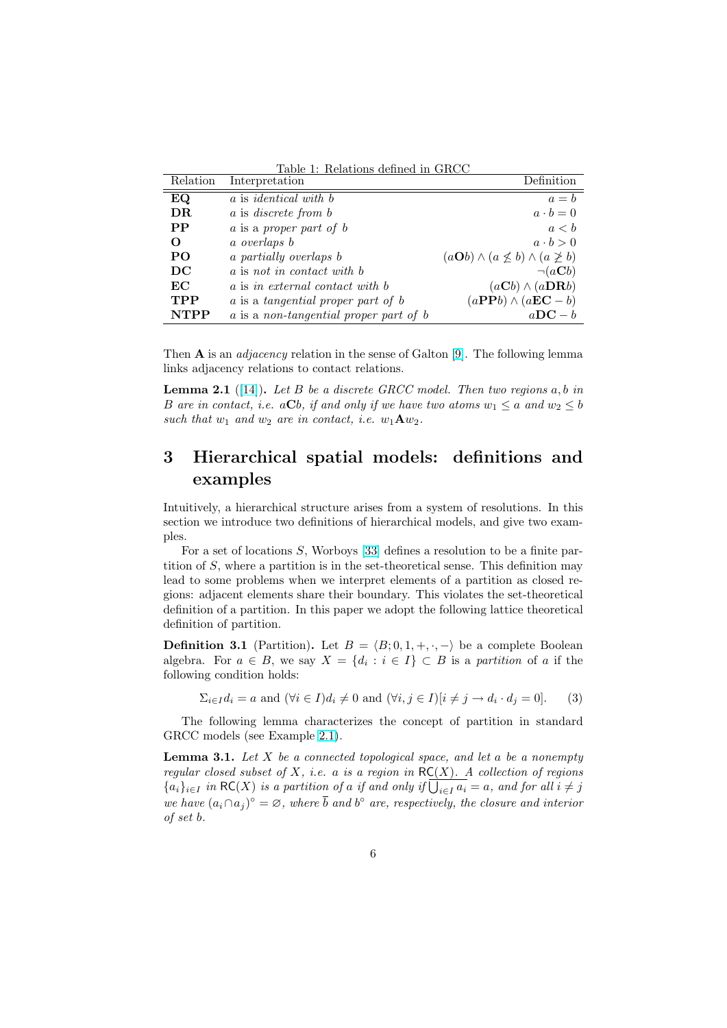Table 1: Relations defined in GRCC

<span id="page-5-0"></span>

| Relation    | Interpretation                         | Definition                                                   |
|-------------|----------------------------------------|--------------------------------------------------------------|
| EQ          | a is <i>identical</i> with b           | $a = b$                                                      |
| DR          | a is discrete from b                   | $a \cdot b = 0$                                              |
| $\bf PP$    | a is a proper part of b                | a < b                                                        |
| O           | a overlaps b                           | $a \cdot b > 0$                                              |
| PO          | a partially overlaps b                 | $(a\mathbf{O}b) \wedge (a \not\leq b) \wedge (a \not\geq b)$ |
| DC          | a is not in contact with b             | $\neg(a\mathbf{C}b)$                                         |
| EC          | a is in external contact with b        | $(aCb) \wedge (aDRb)$                                        |
| <b>TPP</b>  | a is a tangential proper part of b     | $(aPPb) \wedge (aEC - b)$                                    |
| <b>NTPP</b> | a is a non-tangential proper part of b | $a\mathbf{DC} - b$                                           |

Then  $A$  is an *adjacency* relation in the sense of Galton [\[9\]](#page-21-0). The following lemma links adjacency relations to contact relations.

**Lemma 2.1** ([\[14\]](#page-22-0)). Let B be a discrete GRCC model. Then two regions a, b in B are in contact, i.e. a $\mathbf{C}b$ , if and only if we have two atoms  $w_1 \le a$  and  $w_2 \le b$ such that  $w_1$  and  $w_2$  are in contact, i.e.  $w_1 \mathbf{A} w_2$ .

## 3 Hierarchical spatial models: definitions and examples

Intuitively, a hierarchical structure arises from a system of resolutions. In this section we introduce two definitions of hierarchical models, and give two examples.

For a set of locations S, Worboys [\[33\]](#page-23-0) defines a resolution to be a finite partition of S, where a partition is in the set-theoretical sense. This definition may lead to some problems when we interpret elements of a partition as closed regions: adjacent elements share their boundary. This violates the set-theoretical definition of a partition. In this paper we adopt the following lattice theoretical definition of partition.

**Definition 3.1** (Partition). Let  $B = \langle B; 0, 1, +, \cdot, - \rangle$  be a complete Boolean algebra. For  $a \in B$ , we say  $X = \{d_i : i \in I\} \subset B$  is a partition of a if the following condition holds:

 $\Sigma_{i \in I} d_i = a$  and  $(\forall i \in I) d_i \neq 0$  and  $(\forall i, j \in I)[i \neq j \rightarrow d_i \cdot d_j = 0].$  (3)

The following lemma characterizes the concept of partition in standard GRCC models (see Example [2.1\)](#page-4-0).

**Lemma 3.1.** Let  $X$  be a connected topological space, and let a be a nonempty regular closed subset of X, i.e. a is a region in  $RC(X)$ . A collection of regions regular closed subset of  $\Lambda$ , i.e. a is a region in  $\mathcal{R}(X)$ . A collection of regions  $\{a_i\}_{i\in I}$  in  $\mathcal{R}C(X)$  is a partition of a if and only if  $\overline{\bigcup_{i\in I} a_i} = a$ , and for all  $i \neq j$ we have  $(a_i \cap a_j)^\circ = \varnothing$ , where  $\overline{b}$  and  $b^\circ$  are, respectively, the closure and interior of set b.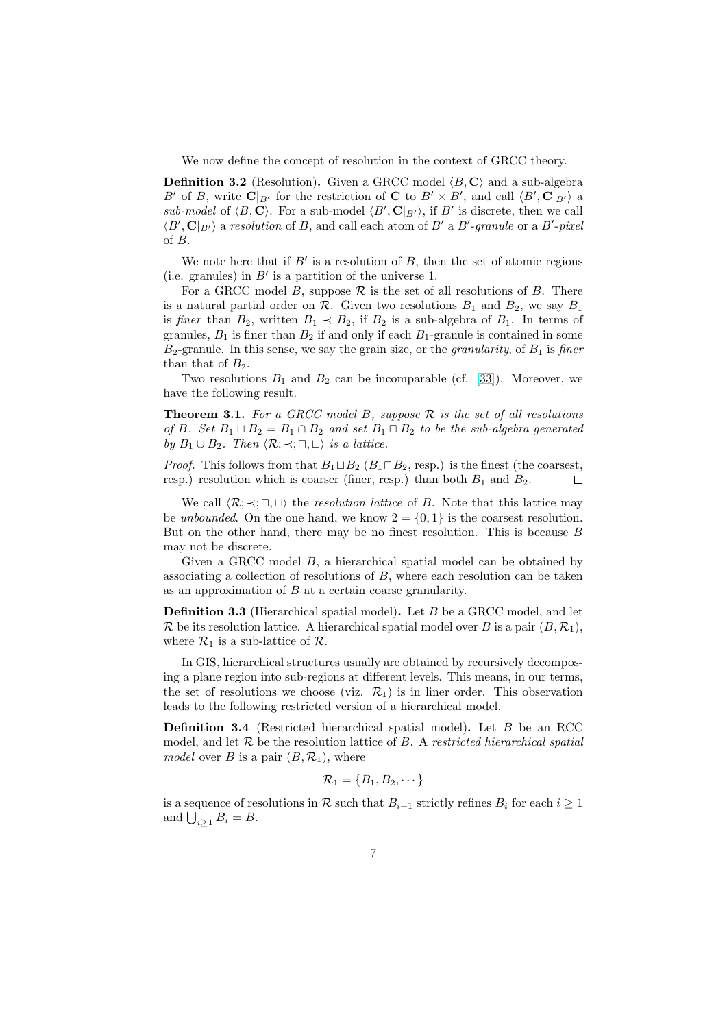<span id="page-6-0"></span>We now define the concept of resolution in the context of GRCC theory.

**Definition 3.2** (Resolution). Given a GRCC model  $\langle B, C \rangle$  and a sub-algebra B' of B, write  $\mathbf{C}|_{B'}$  for the restriction of C to  $B' \times B'$ , and call  $\langle B', \mathbf{C}|_{B'} \rangle$  a sub-model of  $\langle B, \mathbf{C} \rangle$ . For a sub-model  $\langle B', \mathbf{C} |_{B'} \rangle$ , if  $B'$  is discrete, then we call  $\langle B', \mathbf{C} |_{B'} \rangle$  a resolution of B, and call each atom of B' a B'-granule or a B'-pixel of B.

We note here that if  $B'$  is a resolution of  $B$ , then the set of atomic regions (i.e. granules) in  $B'$  is a partition of the universe 1.

For a GRCC model B, suppose  $\mathcal R$  is the set of all resolutions of B. There is a natural partial order on  $\mathcal{R}$ . Given two resolutions  $B_1$  and  $B_2$ , we say  $B_1$ is finer than  $B_2$ , written  $B_1 \prec B_2$ , if  $B_2$  is a sub-algebra of  $B_1$ . In terms of granules,  $B_1$  is finer than  $B_2$  if and only if each  $B_1$ -granule is contained in some  $B_2$ -granule. In this sense, we say the grain size, or the *granularity*, of  $B_1$  is *finer* than that of  $B_2$ .

Two resolutions  $B_1$  and  $B_2$  can be incomparable (cf. [\[33\]](#page-23-0)). Moreover, we have the following result.

**Theorem 3.1.** For a GRCC model B, suppose  $\mathcal{R}$  is the set of all resolutions of B. Set  $B_1 \sqcup B_2 = B_1 \cap B_2$  and set  $B_1 \sqcap B_2$  to be the sub-algebra generated by  $B_1 \cup B_2$ . Then  $\langle \mathcal{R}; \prec; \sqcap, \sqcup \rangle$  is a lattice.

*Proof.* This follows from that  $B_1 \sqcup B_2$  ( $B_1 \sqcap B_2$ , resp.) is the finest (the coarsest, resp.) resolution which is coarser (finer, resp.) than both  $B_1$  and  $B_2$ .  $\Box$ 

We call  $\langle \mathcal{R}; \prec; \sqcap, \sqcup \rangle$  the resolution lattice of B. Note that this lattice may be unbounded. On the one hand, we know  $2 = \{0, 1\}$  is the coarsest resolution. But on the other hand, there may be no finest resolution. This is because  $B$ may not be discrete.

Given a GRCC model B, a hierarchical spatial model can be obtained by associating a collection of resolutions of  $B$ , where each resolution can be taken as an approximation of B at a certain coarse granularity.

Definition 3.3 (Hierarchical spatial model). Let B be a GRCC model, and let R be its resolution lattice. A hierarchical spatial model over B is a pair  $(B, \mathcal{R}_1)$ , where  $\mathcal{R}_1$  is a sub-lattice of  $\mathcal{R}$ .

In GIS, hierarchical structures usually are obtained by recursively decomposing a plane region into sub-regions at different levels. This means, in our terms, the set of resolutions we choose (viz.  $\mathcal{R}_1$ ) is in liner order. This observation leads to the following restricted version of a hierarchical model.

Definition 3.4 (Restricted hierarchical spatial model). Let B be an RCC model, and let  $\mathcal R$  be the resolution lattice of  $B$ . A restricted hierarchical spatial model over B is a pair  $(B, \mathcal{R}_1)$ , where

$$
\mathcal{R}_1 = \{B_1, B_2, \cdots\}
$$

is a sequence of resolutions in R such that  $B_{i+1}$  strictly refines  $B_i$  for each  $i \geq 1$ is a sequence of real and  $\bigcup_{i\geq 1}B_i=B.$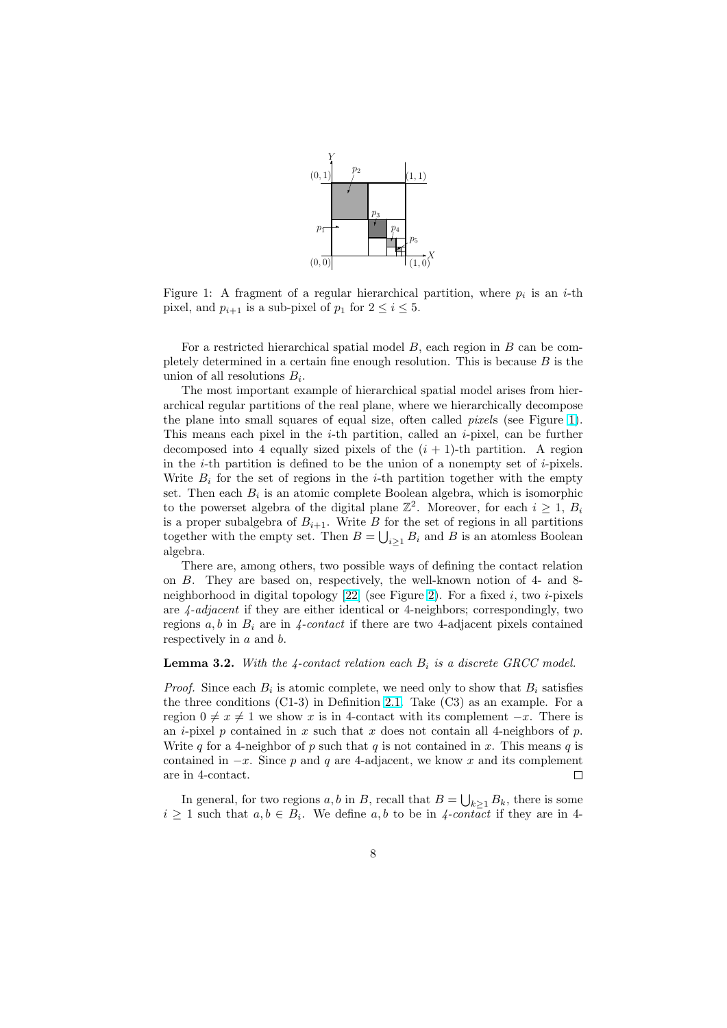

<span id="page-7-0"></span>Figure 1: A fragment of a regular hierarchical partition, where  $p_i$  is an *i*-th pixel, and  $p_{i+1}$  is a sub-pixel of  $p_1$  for  $2 \le i \le 5$ .

For a restricted hierarchical spatial model  $B$ , each region in  $B$  can be completely determined in a certain fine enough resolution. This is because  $B$  is the union of all resolutions  $B_i$ .

The most important example of hierarchical spatial model arises from hierarchical regular partitions of the real plane, where we hierarchically decompose the plane into small squares of equal size, often called pixels (see Figure 1). This means each pixel in the  $i$ -th partition, called an  $i$ -pixel, can be further decomposed into 4 equally sized pixels of the  $(i + 1)$ -th partition. A region in the  $i$ -th partition is defined to be the union of a nonempty set of  $i$ -pixels. Write  $B_i$  for the set of regions in the *i*-th partition together with the empty set. Then each  $B_i$  is an atomic complete Boolean algebra, which is isomorphic to the powerset algebra of the digital plane  $\mathbb{Z}^2$ . Moreover, for each  $i \geq 1$ ,  $B_i$ is a proper subalgebra of  $B_{i+1}$ . Write B for the set of regions in all partitions together with the empty set. Then  $B = \bigcup_{i \geq 1} B_i$  and B is an atomless Boolean algebra.

There are, among others, two possible ways of defining the contact relation on B. They are based on, respectively, the well-known notion of 4- and 8 neighborhood in digital topology  $[22]$  (see Figure [2\)](#page-8-0). For a fixed i, two i-pixels are  $\lambda$ -adjacent if they are either identical or 4-neighbors; correspondingly, two regions  $a, b$  in  $B_i$  are in 4-contact if there are two 4-adjacent pixels contained respectively in a and b.

#### **Lemma 3.2.** With the 4-contact relation each  $B_i$  is a discrete GRCC model.

*Proof.* Since each  $B_i$  is atomic complete, we need only to show that  $B_i$  satisfies the three conditions  $(C1-3)$  in Definition [2.1.](#page-3-0) Take  $(C3)$  as an example. For a region  $0 \neq x \neq 1$  we show x is in 4-contact with its complement  $-x$ . There is an *i*-pixel p contained in x such that x does not contain all 4-neighbors of p. Write q for a 4-neighbor of p such that q is not contained in x. This means q is contained in  $-x$ . Since p and q are 4-adjacent, we know x and its complement are in 4-contact.  $\Box$ 

In general, for two regions  $a, b$  in  $B$ , recall that  $B = \bigcup_{k \geq 1} B_k$ , there is some  $i \geq 1$  such that  $a, b \in B_i$ . We define  $a, b$  to be in 4-contact if they are in 4-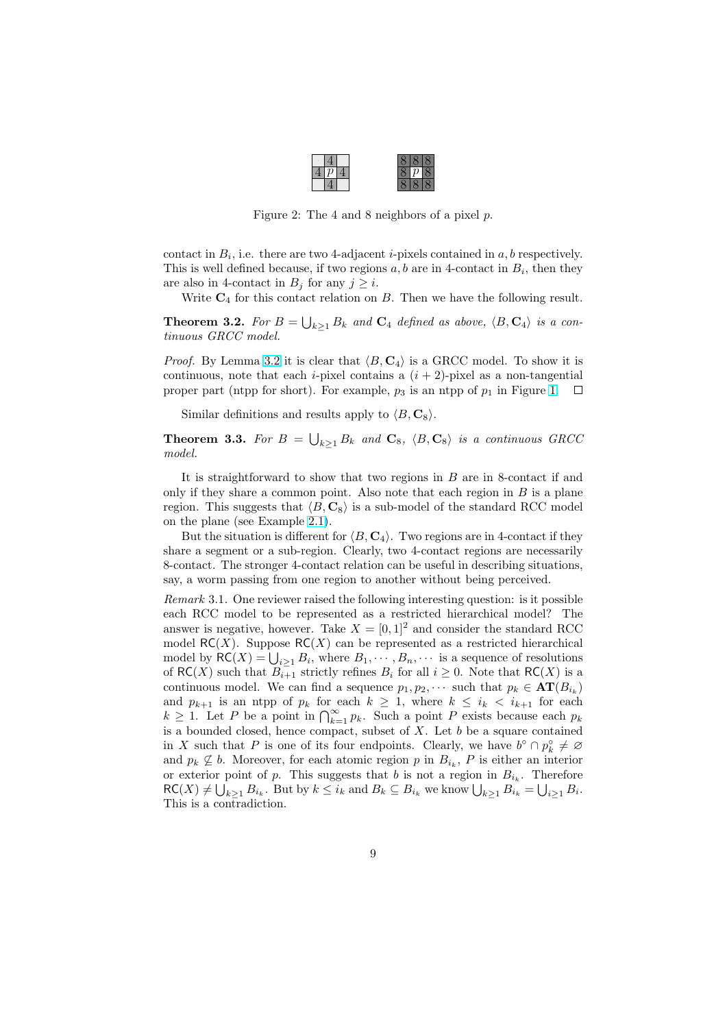| ı | υ |  | × |  |
|---|---|--|---|--|
|   |   |  |   |  |

Figure 2: The 4 and 8 neighbors of a pixel p.

<span id="page-8-0"></span>contact in  $B_i$ , i.e. there are two 4-adjacent *i*-pixels contained in  $a, b$  respectively. This is well defined because, if two regions  $a, b$  are in 4-contact in  $B_i$ , then they are also in 4-contact in  $B_j$  for any  $j \geq i$ .

Write  $C_4$  for this contact relation on  $B$ . Then we have the following result.

**Theorem 3.2.** For  $B = \bigcup_{k\geq 1} B_k$  and  $\mathbf{C}_4$  defined as above,  $\langle B, \mathbf{C}_4 \rangle$  is a continuous GRCC model.

*Proof.* By Lemma [3.2](#page-7-0) it is clear that  $\langle B, C_4 \rangle$  is a GRCC model. To show it is continuous, note that each *i*-pixel contains a  $(i + 2)$ -pixel as a non-tangential proper part (ntpp for short). For example,  $p_3$  is an ntpp of  $p_1$  in Figure [1.](#page-7-0)  $\Box$ 

Similar definitions and results apply to  $\langle B, \mathbf{C}_8 \rangle$ .

**Theorem 3.3.** For  $B = \bigcup_{k\geq 1} B_k$  and  $\mathbf{C}_8$ ,  $\langle B, \mathbf{C}_8 \rangle$  is a continuous GRCC model.

It is straightforward to show that two regions in  $B$  are in 8-contact if and only if they share a common point. Also note that each region in  $B$  is a plane region. This suggests that  $\langle B, C_8 \rangle$  is a sub-model of the standard RCC model on the plane (see Example [2.1\)](#page-4-0).

But the situation is different for  $\langle B, C_4 \rangle$ . Two regions are in 4-contact if they share a segment or a sub-region. Clearly, two 4-contact regions are necessarily 8-contact. The stronger 4-contact relation can be useful in describing situations, say, a worm passing from one region to another without being perceived.

Remark 3.1. One reviewer raised the following interesting question: is it possible each RCC model to be represented as a restricted hierarchical model? The answer is negative, however. Take  $X = [0, 1]^2$  and consider the standard RCC model  $RC(X)$ . Suppose  $RC(X)$  can be represented as a restricted hierarchical model  $\mathcal{RC}(X)$ . Suppose  $\mathcal{RC}(X)$  can be represented as a restricted merarchical model by  $\mathcal{RC}(X) = \bigcup_{i \geq 1} B_i$ , where  $B_1, \dots, B_n, \dots$  is a sequence of resolutions of  $\mathsf{RC}(X)$  such that  $B_{i+1}^-$  strictly refines  $B_i$  for all  $i \geq 0$ . Note that  $\mathsf{RC}(X)$  is a continuous model. We can find a sequence  $p_1, p_2, \cdots$  such that  $p_k \in \text{AT}(B_{i_k})$ and  $p_{k+1}$  is an ntpp of  $p_k$  for each  $k \geq 1$ , where  $k \leq i_k \leq i_{k+1}$  for each and  $p_{k+1}$  is an hipp of  $p_k$  for each  $k \geq 1$ , where  $k \leq i_k \leq i_{k+1}$  for each  $k \geq 1$ . Let P be a point in  $\bigcap_{k=1}^{\infty} p_k$ . Such a point P exists because each  $p_k$ is a bounded closed, hence compact, subset of  $X$ . Let  $b$  be a square contained in X such that P is one of its four endpoints. Clearly, we have  $b^{\circ} \cap p_k^{\circ} \neq \emptyset$ and  $p_k \nsubseteq b$ . Moreover, for each atomic region p in  $B_{i_k}$ , P is either an interior or exterior point of p. This suggests that b is not a region in  $B_{i_k}$ . Therefore or exterior point of p. This suggests that b is not a region in  $B_{i_k}$ . Therefore  $RC(X) \neq \bigcup_{k \geq 1} B_{i_k}$ . But by  $k \leq i_k$  and  $B_k \subseteq B_{i_k}$  we know  $\bigcup_{k \geq 1} B_{i_k} = \bigcup_{i \geq 1} B_i$ . This is a contradiction.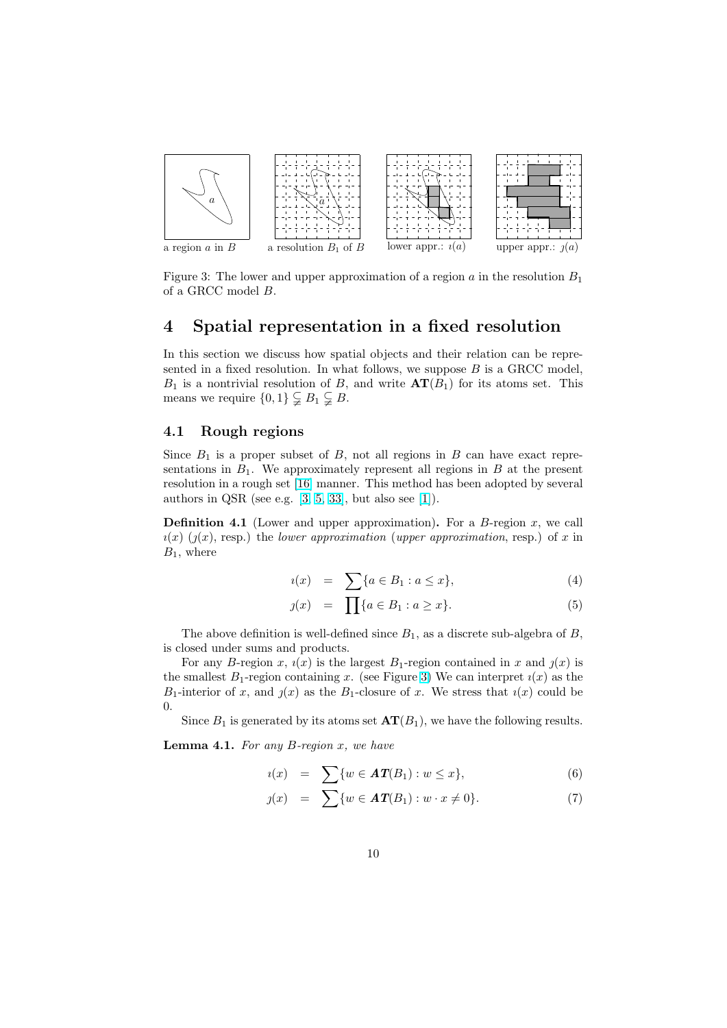<span id="page-9-0"></span>

Figure 3: The lower and upper approximation of a region a in the resolution  $B_1$ of a GRCC model B.

### 4 Spatial representation in a fixed resolution

In this section we discuss how spatial objects and their relation can be represented in a fixed resolution. In what follows, we suppose  $B$  is a GRCC model,  $B_1$  is a nontrivial resolution of B, and write  $AT(B_1)$  for its atoms set. This means we require  $\{0,1\} \subsetneq B_1 \subsetneq B$ .

#### 4.1 Rough regions

Since  $B_1$  is a proper subset of B, not all regions in B can have exact representations in  $B_1$ . We approximately represent all regions in B at the present resolution in a rough set [\[16\]](#page-22-0) manner. This method has been adopted by several authors in QSR (see e.g.  $[3, 5, 33]$  $[3, 5, 33]$  $[3, 5, 33]$  $[3, 5, 33]$  $[3, 5, 33]$ , but also see  $[1]$ ).

**Definition 4.1** (Lower and upper approximation). For a  $B$ -region  $x$ , we call  $u(x)$  ( $\eta(x)$ , resp.) the lower approximation (upper approximation, resp.) of x in  $B_1$ , where

$$
u(x) = \sum \{a \in B_1 : a \le x\},\tag{4}
$$

$$
y(x) = \prod_{i} \{a \in B_1 : a \ge x\}.
$$
 (5)

The above definition is well-defined since  $B_1$ , as a discrete sub-algebra of  $B$ , is closed under sums and products.

For any B-region x,  $\iota(x)$  is the largest B<sub>1</sub>-region contained in x and  $\iota(x)$  is the smallest  $B_1$ -region containing x. (see Figure 3) We can interpret  $\iota(x)$  as the  $B_1$ -interior of x, and  $y(x)$  as the  $B_1$ -closure of x. We stress that  $i(x)$  could be 0.

Since  $B_1$  is generated by its atoms set  $\mathbf{AT}(B_1)$ , we have the following results.

**Lemma 4.1.** For any  $B$ -region  $x$ , we have

$$
u(x) = \sum \{w \in \mathbf{AT}(B_1) : w \leq x\},\tag{6}
$$

$$
y(x) = \sum \{ w \in \mathbf{AT}(B_1) : w \cdot x \neq 0 \}.
$$
 (7)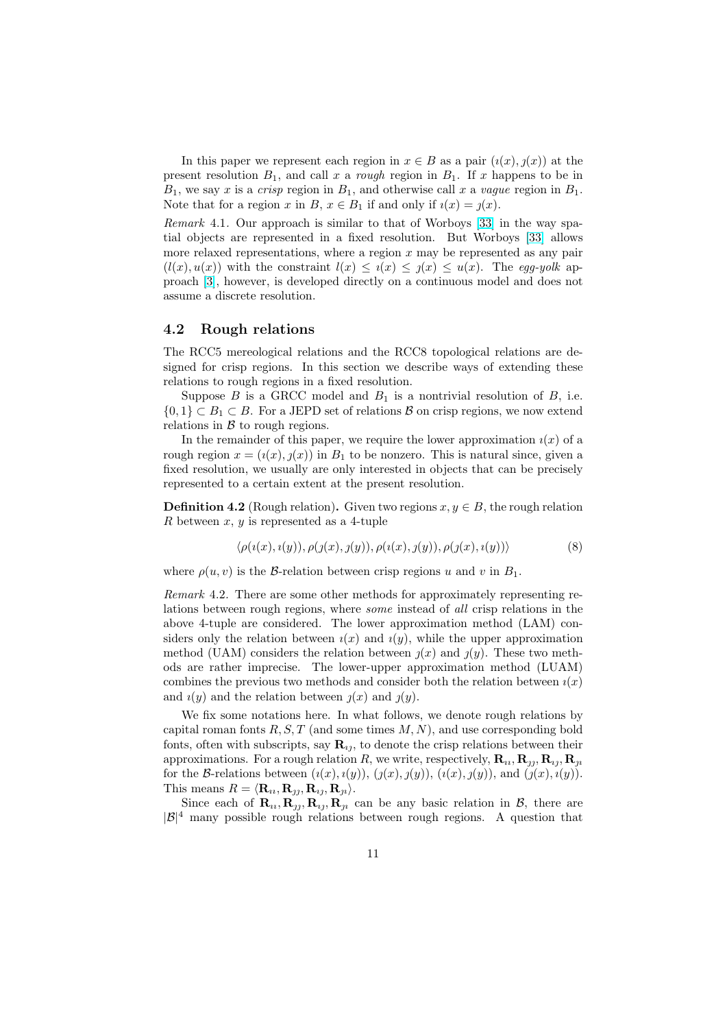In this paper we represent each region in  $x \in B$  as a pair  $(i(x), j(x))$  at the present resolution  $B_1$ , and call x a rough region in  $B_1$ . If x happens to be in  $B_1$ , we say x is a crisp region in  $B_1$ , and otherwise call x a vague region in  $B_1$ . Note that for a region x in B,  $x \in B_1$  if and only if  $i(x) = j(x)$ .

Remark 4.1. Our approach is similar to that of Worboys [\[33\]](#page-23-0) in the way spatial objects are represented in a fixed resolution. But Worboys [\[33\]](#page-23-0) allows more relaxed representations, where a region  $x$  may be represented as any pair  $(l(x), u(x))$  with the constraint  $l(x) \leq i(x) \leq j(x) \leq u(x)$ . The egg-yolk approach [\[3\]](#page-21-0), however, is developed directly on a continuous model and does not assume a discrete resolution.

### 4.2 Rough relations

The RCC5 mereological relations and the RCC8 topological relations are designed for crisp regions. In this section we describe ways of extending these relations to rough regions in a fixed resolution.

Suppose  $B$  is a GRCC model and  $B_1$  is a nontrivial resolution of  $B$ , i.e.  $\{0,1\} \subset B_1 \subset B$ . For a JEPD set of relations  $\mathcal{B}$  on crisp regions, we now extend relations in  $\beta$  to rough regions.

In the remainder of this paper, we require the lower approximation  $i(x)$  of a rough region  $x = (i(x), j(x))$  in  $B_1$  to be nonzero. This is natural since, given a fixed resolution, we usually are only interested in objects that can be precisely represented to a certain extent at the present resolution.

**Definition 4.2** (Rough relation). Given two regions  $x, y \in B$ , the rough relation R between  $x, y$  is represented as a 4-tuple

$$
\langle \rho(i(x), i(y)), \rho(j(x), j(y)), \rho(i(x), j(y)), \rho(j(x), i(y)) \rangle \tag{8}
$$

where  $\rho(u, v)$  is the *B*-relation between crisp regions u and v in  $B_1$ .

Remark 4.2. There are some other methods for approximately representing relations between rough regions, where some instead of all crisp relations in the above 4-tuple are considered. The lower approximation method (LAM) considers only the relation between  $i(x)$  and  $i(y)$ , while the upper approximation method (UAM) considers the relation between  $\chi(x)$  and  $\chi(y)$ . These two methods are rather imprecise. The lower-upper approximation method (LUAM) combines the previous two methods and consider both the relation between  $\iota(x)$ and  $i(y)$  and the relation between  $j(x)$  and  $j(y)$ .

We fix some notations here. In what follows, we denote rough relations by capital roman fonts  $R, S, T$  (and some times  $M, N$ ), and use corresponding bold fonts, often with subscripts, say  $\mathbf{R}_{ij}$ , to denote the crisp relations between their approximations. For a rough relation R, we write, respectively,  $\mathbf{R}_{u}$ ,  $\mathbf{R}_{u}$ ,  $\mathbf{R}_{u}$ ,  $\mathbf{R}_{u}$ ,  $\mathbf{R}_{u}$ for the B-relations between  $(i(x), i(y)), (j(x), j(y)), (i(x), j(y)),$  and  $(j(x), i(y)).$ This means  $R = \langle \mathbf{R}_{i1}, \mathbf{R}_{j1}, \mathbf{R}_{ij}, \mathbf{R}_{ji} \rangle$ .

Since each of  $\mathbf{R}_u$ ,  $\mathbf{R}_y$ ,  $\mathbf{R}_y$ ,  $\mathbf{R}_y$  can be any basic relation in  $\mathcal{B}$ , there are  $|\mathcal{B}|^4$  many possible rough relations between rough regions. A question that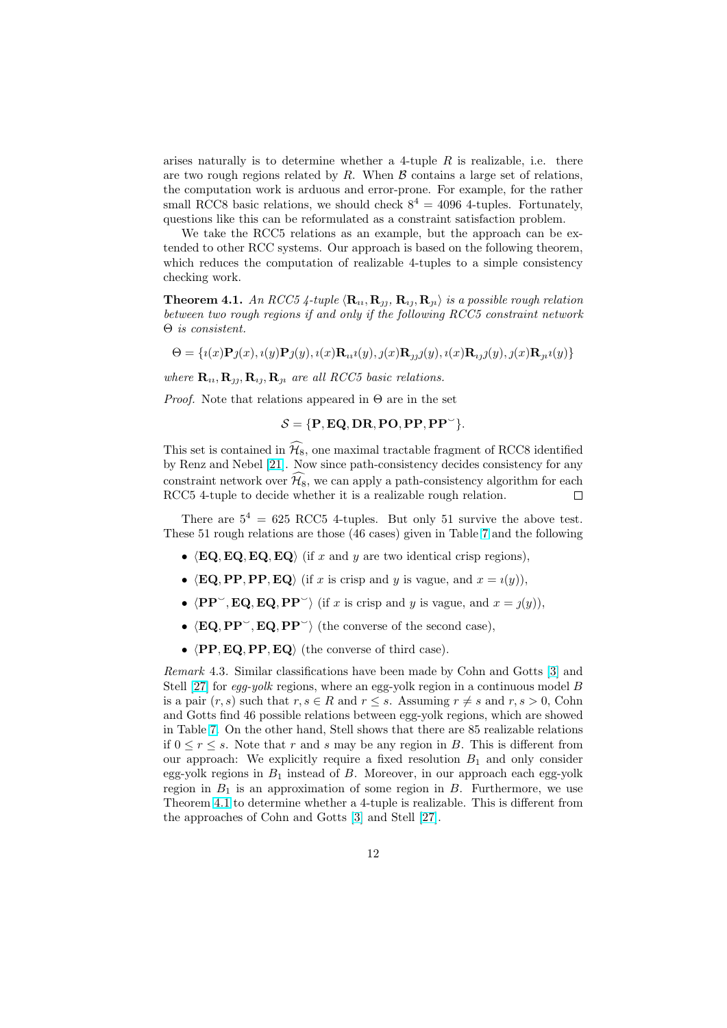arises naturally is to determine whether a 4-tuple  $R$  is realizable, i.e. there are two rough regions related by  $R$ . When  $\beta$  contains a large set of relations, the computation work is arduous and error-prone. For example, for the rather small RCC8 basic relations, we should check  $8^4 = 4096$  4-tuples. Fortunately, questions like this can be reformulated as a constraint satisfaction problem.

We take the RCC5 relations as an example, but the approach can be extended to other RCC systems. Our approach is based on the following theorem, which reduces the computation of realizable 4-tuples to a simple consistency checking work.

**Theorem 4.1.** An RCC5 4-tuple  $\langle \mathbf{R}_u, \mathbf{R}_{\eta}, \mathbf{R}_{\eta}, \mathbf{R}_n \rangle$  is a possible rough relation between two rough regions if and only if the following RCC5 constraint network Θ is consistent.

$$
\Theta = \{i(x)\mathbf{P}j(x), i(y)\mathbf{P}j(y), i(x)\mathbf{R}_{ii}(y), j(x)\mathbf{R}_{jj}(y), i(x)\mathbf{R}_{jj}(y), j(x)\mathbf{R}_{jj}(y)\}
$$

where  $\mathbf{R}_{u}, \mathbf{R}_{y}, \mathbf{R}_{v}, \mathbf{R}_{u}$  are all RCC5 basic relations.

*Proof.* Note that relations appeared in  $\Theta$  are in the set

 $S = {P, EQ, DR, PO, PP, PP^{\prime}}.$ 

This set is contained in  $\widehat{\mathcal{H}}_8$ , one maximal tractable fragment of RCC8 identified by Renz and Nebel [\[21\]](#page-22-0). Now since path-consistency decides consistency for any constraint network over  $\mathcal{H}_8$ , we can apply a path-consistency algorithm for each RCC5 4-tuple to decide whether it is a realizable rough relation.  $\Box$ 

There are  $5^4 = 625$  RCC5 4-tuples. But only 51 survive the above test. These 51 rough relations are those (46 cases) given in Table [7](#page-15-0) and the following

- $\langle$ **EQ, EQ, EQ, EQ** $\rangle$  (if x and y are two identical crisp regions),
- $\langle$ **EQ, PP, PP, EQ** $\rangle$  (if x is crisp and y is vague, and  $x = i(y)$ ),
- $\langle PP^{\vee}, \mathbf{EQ}, \mathbf{EQ}, PP^{\vee} \rangle$  (if x is crisp and y is vague, and  $x = j(y)$ ),
- $\langle EQ, PP^{\sim}, EQ, PP^{\sim} \rangle$  (the converse of the second case),
- $\langle PP, EQ, PP, EQ \rangle$  (the converse of third case).

Remark 4.3. Similar classifications have been made by Cohn and Gotts [\[3\]](#page-21-0) and Stell [\[27\]](#page-22-0) for *egg-yolk* regions, where an egg-yolk region in a continuous model B is a pair  $(r, s)$  such that  $r, s \in R$  and  $r \leq s$ . Assuming  $r \neq s$  and  $r, s > 0$ , Cohn and Gotts find 46 possible relations between egg-yolk regions, which are showed in Table [7.](#page-15-0) On the other hand, Stell shows that there are 85 realizable relations if  $0 \leq r \leq s$ . Note that r and s may be any region in B. This is different from our approach: We explicitly require a fixed resolution  $B_1$  and only consider egg-yolk regions in  $B_1$  instead of  $B$ . Moreover, in our approach each egg-yolk region in  $B_1$  is an approximation of some region in  $B$ . Furthermore, we use Theorem 4.1 to determine whether a 4-tuple is realizable. This is different from the approaches of Cohn and Gotts [\[3\]](#page-21-0) and Stell [\[27\]](#page-22-0).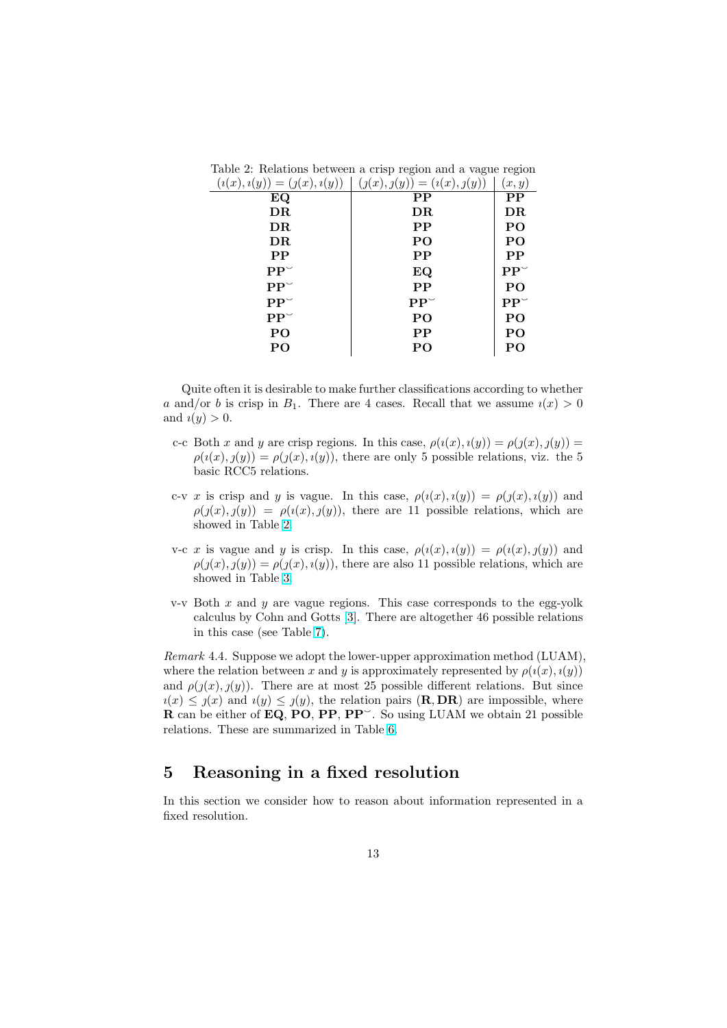| $\sqrt{2}$<br>$\sqrt{2}$<br>$\sqrt{2}$ | $\sqrt{2}$<br>$\langle \quad \rangle$ | $\sqrt{2}$             |
|----------------------------------------|---------------------------------------|------------------------|
| EQ                                     | $\bf PP$                              | $\bf PP$               |
| $\overline{\rm DR}$                    | DR                                    | DR                     |
| $\overline{\rm DR}$                    | $\bf PP$                              | P <sub>O</sub>         |
| DR                                     | P <sub>O</sub>                        | P <sub>O</sub>         |
| $\bf PP$                               | $\bf PP$                              | $\bf PP$               |
| $\mathbf{PP}^{\smile}$                 | EQ                                    | $\mathbf{PP}^{\smile}$ |
| $\mathbf{PP}^{\smile}$                 | PP                                    | PO                     |
| $\mathbf{PP}^{\smile}$                 | $\mathbf{PP}^{\smile}$                | $\mathbf{PP}^{\smile}$ |
| $\mathbf{PP}^{\smile}$                 | P <sub>O</sub>                        | P <sub>O</sub>         |
| PO                                     | $\bf PP$                              | P <sub>O</sub>         |
| PO                                     | PO                                    | PO                     |
|                                        |                                       |                        |

<span id="page-12-0"></span>Table 2: Relations between a crisp region and a vague region  $(i(x), i(y)) = (j(x), i(y)) \mid (j(x), j(y)) = (i(x), j(y)) \mid (x, y)$ 

Quite often it is desirable to make further classifications according to whether a and/or b is crisp in  $B_1$ . There are 4 cases. Recall that we assume  $i(x) > 0$ and  $u(y) > 0$ .

- c-c Both x and y are crisp regions. In this case,  $\rho(i(x), i(y)) = \rho(j(x), j(y)) =$  $\rho(i(x), j(y)) = \rho(j(x), i(y))$ , there are only 5 possible relations, viz. the 5 basic RCC5 relations.
- c-v x is crisp and y is vague. In this case,  $\rho(i(x), i(y)) = \rho(j(x), i(y))$  and  $\rho(j(x), j(y)) = \rho(i(x), j(y))$ , there are 11 possible relations, which are showed in Table 2.
- v-c x is vague and y is crisp. In this case,  $\rho(i(x), i(y)) = \rho(i(x), j(y))$  and  $\rho(j(x), j(y)) = \rho(j(x), i(y))$ , there are also 11 possible relations, which are showed in Table [3.](#page-13-0)
- v-v Both  $x$  and  $y$  are vague regions. This case corresponds to the egg-yolk calculus by Cohn and Gotts [\[3\]](#page-21-0). There are altogether 46 possible relations in this case (see Table [7\)](#page-15-0).

Remark 4.4. Suppose we adopt the lower-upper approximation method (LUAM), where the relation between x and y is approximately represented by  $\rho(i(x), i(y))$ and  $\rho(\eta(x), \eta(y))$ . There are at most 25 possible different relations. But since  $u(x) \leq \chi(x)$  and  $u(y) \leq \chi(y)$ , the relation pairs (**R**, DR) are impossible, where R can be either of EQ, PO, PP, PP<sup> $\sim$ </sup>. So using LUAM we obtain 21 possible relations. These are summarized in Table [6.](#page-14-0)

### 5 Reasoning in a fixed resolution

In this section we consider how to reason about information represented in a fixed resolution.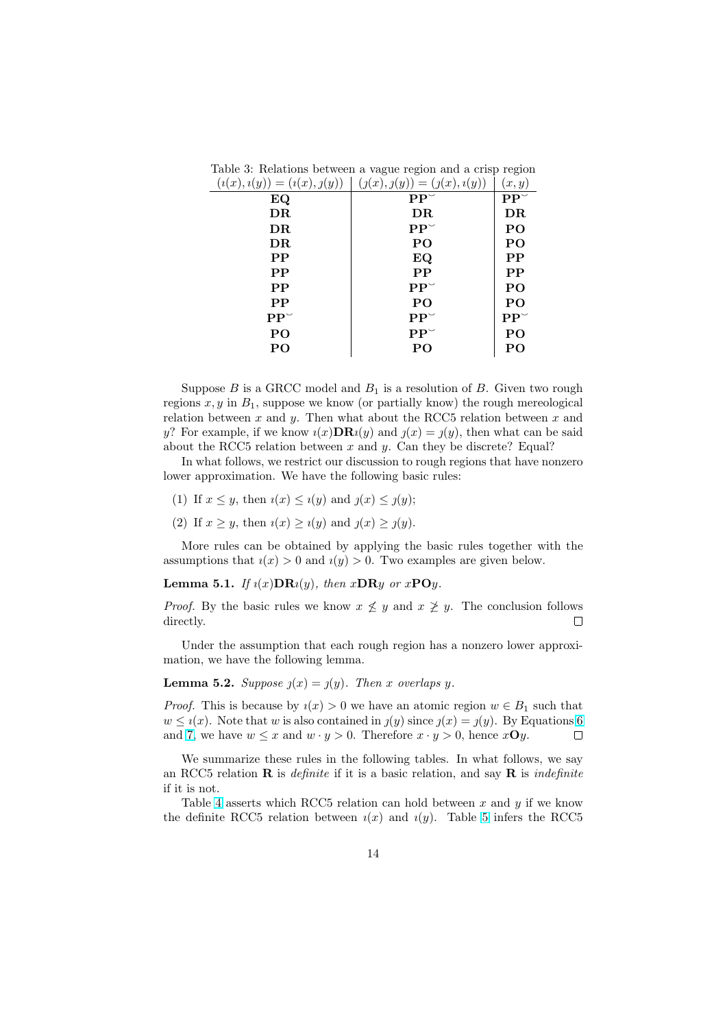| $\sqrt{2}$<br>$\sim$<br>$\langle \quad \rangle$ | $\sqrt{2}$<br>$\sqrt{2}$<br>$\sqrt{2}$ | $\lambda$<br>$\cdots$  |
|-------------------------------------------------|----------------------------------------|------------------------|
| EQ                                              | $\mathbf{P} \mathbf{P}^{\smile}$       | $\mathbf{PP}^{\smile}$ |
| $\overline{\rm DR}$                             | DR                                     | DR                     |
| $\overline{\rm DR}$                             | $\mathbf{PP}^{\smile}$                 | PO                     |
| $\overline{\rm DR}$                             | P <sub>O</sub>                         | PO                     |
| PP                                              | EQ                                     | PP                     |
| PP                                              | PP                                     | PP                     |
| PP                                              | $\mathbf{PP}^{\smile}$                 | PO                     |
| $\bf PP$                                        | PO                                     | PO                     |
| $\mathbf{PP}^{\smile}$                          | $\mathbf{PP}^{\smile}$                 | $\mathbf{PP}^{\smile}$ |
| PO                                              | $\mathbf{PP}^{\smile}$                 | P <sub>O</sub>         |
| PO                                              | PO                                     | PO                     |
|                                                 |                                        |                        |

<span id="page-13-0"></span>Table 3: Relations between a vague region and a crisp region  $(i(x), i(y)) = (i(x), j(y))$   $(j(x), j(y)) = (j(x), i(y))$   $(i, y)$ 

Suppose  $B$  is a GRCC model and  $B_1$  is a resolution of  $B$ . Given two rough regions  $x, y$  in  $B_1$ , suppose we know (or partially know) the rough mereological relation between  $x$  and  $y$ . Then what about the RCC5 relation between  $x$  and y? For example, if we know  $i(x)$ **DR** $i(y)$  and  $j(x) = j(y)$ , then what can be said about the RCC5 relation between  $x$  and  $y$ . Can they be discrete? Equal?

In what follows, we restrict our discussion to rough regions that have nonzero lower approximation. We have the following basic rules:

- (1) If  $x \leq y$ , then  $u(x) \leq u(y)$  and  $y(x) \leq y(y)$ ;
- (2) If  $x \geq y$ , then  $i(x) \geq i(y)$  and  $j(x) \geq j(y)$ .

More rules can be obtained by applying the basic rules together with the assumptions that  $i(x) > 0$  and  $i(y) > 0$ . Two examples are given below.

**Lemma 5.1.** If  $i(x)$ **DR** $i(y)$ , then  $x$ **DR** $y$  or  $x$ **PO** $y$ .

*Proof.* By the basic rules we know  $x \not\leq y$  and  $x \not\geq y$ . The conclusion follows directly. П

Under the assumption that each rough region has a nonzero lower approximation, we have the following lemma.

#### **Lemma 5.2.** Suppose  $y(x) = y(y)$ . Then x overlaps y.

*Proof.* This is because by  $i(x) > 0$  we have an atomic region  $w \in B_1$  such that  $w \leq i(x)$ . Note that w is also contained in  $j(y)$  since  $j(x) = j(y)$ . By Equations [6](#page-9-0) and [7,](#page-9-0) we have  $w \leq x$  and  $w \cdot y > 0$ . Therefore  $x \cdot y > 0$ , hence  $x \cdot y$ .  $\Box$ 

We summarize these rules in the following tables. In what follows, we say an RCC5 relation **R** is *definite* if it is a basic relation, and say **R** is *indefinite* if it is not.

Table [4](#page-14-0) asserts which RCC5 relation can hold between  $x$  and  $y$  if we know the definite RCC[5](#page-14-0) relation between  $i(x)$  and  $i(y)$ . Table 5 infers the RCC5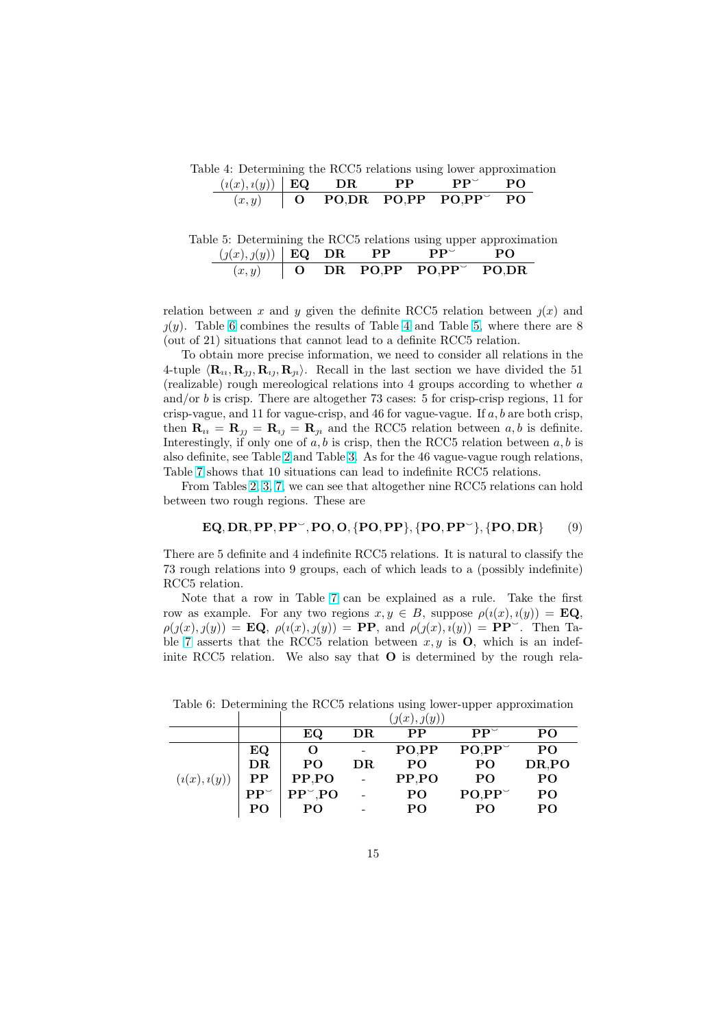<span id="page-14-0"></span>Table 4: Determining the RCC5 relations using lower approximation

| $(i(x), i(y))$ <b>EQ</b> DR |  | $\mathbf{PP}$ | $\mathbf{PP}^{\vee}$           | P <sub>O</sub>         |  |
|-----------------------------|--|---------------|--------------------------------|------------------------|--|
|                             |  |               | $(x, y)$   O PO,DR PO,PP PO,PP | $\mathbf{P}\mathbf{O}$ |  |

Table 5: Determining the RCC5 relations using upper approximation  $(y(x), y(y))$  **EQ DR PP PP**<sup>3</sup> **PO**  $(x, y)$  O DR PO,PP PO,PP PO,DR

relation between x and y given the definite RCC5 relation between  $\chi(x)$  and  $(y)$ . Table 6 combines the results of Table 4 and Table 5, where there are 8 (out of 21) situations that cannot lead to a definite RCC5 relation.

To obtain more precise information, we need to consider all relations in the 4-tuple  $\langle \mathbf{R}_u, \mathbf{R}_v, \mathbf{R}_u, \mathbf{R}_u \rangle$ . Recall in the last section we have divided the 51 (realizable) rough mereological relations into 4 groups according to whether a and/or b is crisp. There are altogether 73 cases: 5 for crisp-crisp regions, 11 for crisp-vague, and 11 for vague-crisp, and 46 for vague-vague. If  $a, b$  are both crisp, then  $\mathbf{R}_{1i} = \mathbf{R}_{1j} = \mathbf{R}_{1j} = \mathbf{R}_{1i}$  and the RCC5 relation between a, b is definite. Interestingly, if only one of  $a, b$  is crisp, then the RCC5 relation between  $a, b$  is also definite, see Table [2](#page-12-0) and Table [3.](#page-13-0) As for the 46 vague-vague rough relations, Table [7](#page-15-0) shows that 10 situations can lead to indefinite RCC5 relations.

From Tables [2,](#page-12-0) [3,](#page-13-0) [7,](#page-15-0) we can see that altogether nine RCC5 relations can hold between two rough regions. These are

$$
\mathbf{EQ}, \mathbf{DR}, \mathbf{PP}, \mathbf{PP}^{\sim}, \mathbf{PO}, \mathbf{O}, \{\mathbf{PO}, \mathbf{PP}\}, \{\mathbf{PO}, \mathbf{PP}^{\sim}\}, \{\mathbf{PO}, \mathbf{DR}\} \tag{9}
$$

There are 5 definite and 4 indefinite RCC5 relations. It is natural to classify the 73 rough relations into 9 groups, each of which leads to a (possibly indefinite) RCC5 relation.

Note that a row in Table [7](#page-15-0) can be explained as a rule. Take the first row as example. For any two regions  $x, y \in B$ , suppose  $\rho(i(x), i(y)) = \mathbf{EQ}$ ,  $\rho(j(x), j(y)) = \mathbf{EQ}, \ \rho(i(x), j(y)) = \mathbf{PP}, \text{ and } \rho(j(x), i(y)) = \mathbf{PP}^{\sim}$ . Then Ta-ble [7](#page-15-0) asserts that the RCC5 relation between  $x, y$  is **O**, which is an indefinite RCC5 relation. We also say that O is determined by the rough rela-

|             |             | $\eta(x), \eta(y)$ |          |                |                 |                 |
|-------------|-------------|--------------------|----------|----------------|-----------------|-----------------|
|             |             | EQ                 | $\rm DR$ | $\bf PP$       | $PP^{\vee}$     | PO              |
|             | EQ          | O                  |          | PO.PP          | $PO, PP^{\vee}$ | PO <sub>1</sub> |
|             | DR          | P <sub>O</sub>     | DR       | P <sub>O</sub> | PO.             | DR,PO           |
| (i(x),i(y)) | $\bf PP$    | PP,PO              |          | PP, PO         | P <sub>O</sub>  | P <sub>O</sub>  |
|             | $PP^{\vee}$ | $PP^{\sim}$ , PO   |          | PO.            | $PO, PP^{\sim}$ | PO              |
|             | PΟ          | PO                 |          | PO             | PΟ              | PO              |

Table 6: Determining the RCC5 relations using lower-upper approximation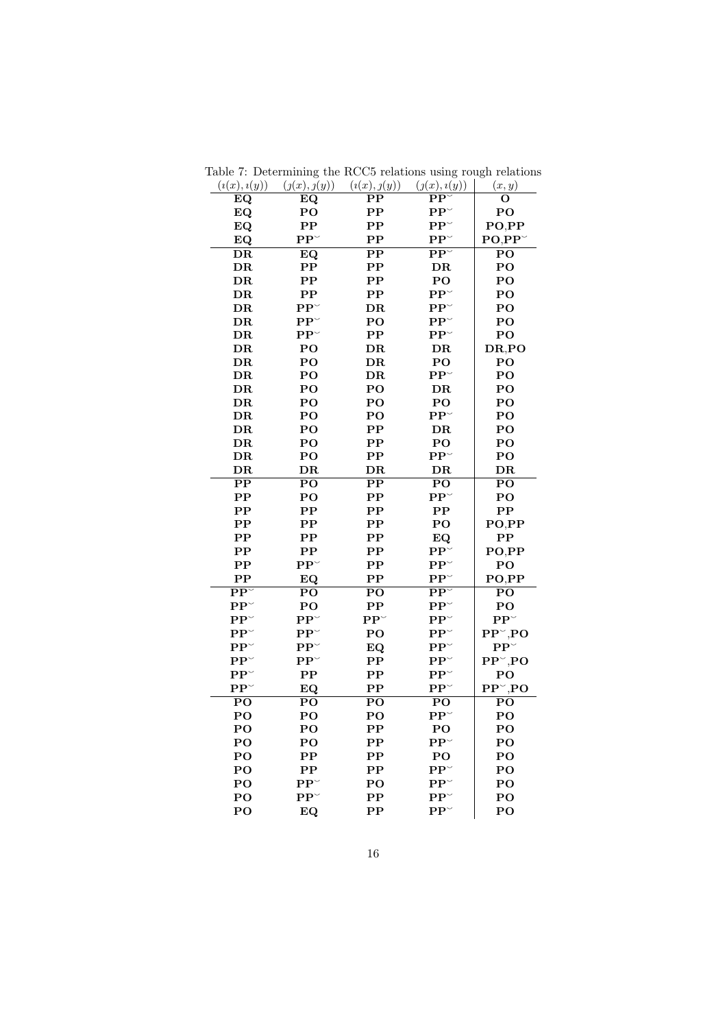| EQ                                | EQ                               | $\bf PP$                 | ${\bf PP}^\smallsmile$            | О                            |
|-----------------------------------|----------------------------------|--------------------------|-----------------------------------|------------------------------|
| EQ                                | $\bf{PO}$                        | $\bf PP$                 | ${\bf P}{\bf P}^\smallsmile$      | $\bf{PO}$                    |
| EQ                                | $\bf PP$                         | $\bf PP$                 | ${\bf P}{\bf P}^\smallsmile$      | PO,PP                        |
| EQ                                | $\mathbf{PP}^{\smile}$           | ${\bf PP}$               | ${\bf P}{\bf P}^\smallsmile$      | $PO,PP^{\sim}$               |
| $\overline{DR}$                   | EQ                               | $\overline{\text{PP}}$   | $\overline{\mathbf{PP}^{\smile}}$ | PO                           |
| ${\bf D}{\bf R}$                  | ${\bf PP}$                       | ${\bf PP}$               | DR                                | PO                           |
| DR                                | $\bf PP$                         | $\bf PP$                 | PO.                               | PO                           |
| DR                                | $\bf PP$                         | $\bf PP$                 | $\mathbf{P}\mathbf{P}^{\smile}$   | $\bf{PO}$                    |
| DR                                | $PP^{\vee}$                      | $\overline{\rm DR}$      | $PP^{\vee}$                       | $\bf{PO}$                    |
| DR                                | $\mathbf{PP}^{\smile}$           | $\mathbf{P}\mathbf{O}$   | ${\bf P}{\bf P}^\smallsmile$      | $\bf{PO}$                    |
| DR                                | $\mathbf{P} \mathbf{P}^{\smile}$ | $\bf PP$                 | ${\bf P}{\bf P}^\smallsmile$      | PO                           |
| $\overline{\rm DR}$               | $\bf{PO}$                        | $_{\rm DR}$              | ${\bf D}{\bf R}$                  | DR,PO                        |
| DR                                | $\bf{PO}$                        | DR                       | $\bf{PO}$                         | PO                           |
| $_{\rm DR}$                       | PO                               | $\overline{\rm DR}$      | $PP^{\vee}$                       | PO                           |
| DR                                | PO                               | PO                       | DR                                | PO                           |
| DR                                | $\overline{P}O$                  | $\bf{PO}$                | $\mathbf{PO}$                     | $\overline{P}O$              |
| DR                                | PO                               | PO                       | $\mathbf{P} \mathbf{P}^{\smile}$  | PO                           |
| DR                                | $\overline{P}O$                  | $\overline{\text{PP}}$   | $\overline{\text{DR}}$            | $\overline{P}O$              |
| DR                                | PO                               | PP                       | $\mathbf{PO}$                     | $\mathbf{PO}$                |
| DR                                | PO                               | ${\bf PP}$               | ${\bf P}{\bf P}^\smallsmile$      | PO                           |
| DR                                | $\overline{\rm DR}$              | $\overline{\rm DR}$      | DR                                | $\overline{\rm DR}$          |
| $\overline{\text{PP}}$            | $\overline{\mathbf{PO}}$         | $\overline{\text{PP}}$   | $\overline{PQ}$                   | $\overline{\mathbf{PO}}$     |
| $\bf PP$                          | $\overline{P}O$                  | $\bf PP$                 | $PP^{\sim}$                       | PO                           |
| ${\bf PP}$                        | ${\bf PP}$                       | ${\bf PP}$               | $\bf PP$                          | ${\bf PP}$                   |
| $\rm PP$                          | $\bf PP$                         | $\bf PP$                 | PO                                | PO,PP                        |
| ${\bf PP}$                        | ${\bf PP}$                       | ${\bf PP}$               | ${\bf EQ}$                        | $\bf PP$                     |
| $\bf PP$                          | $\bf PP$                         | $\bf PP$                 | ${\bf P}{\bf P}^\smallsmile$      | PO,PP                        |
| $\bf PP$                          | $\mathbf{PP}^{\smile}$           | $\bf PP$                 | $PP^{\vee}$                       | $\bf{PO}$                    |
| $\mathbf{PP}$                     | EQ                               | $\bf PP$                 | ${\bf P}{\bf P}^\smallsmile$      | PO,PP                        |
| $\overline{\mathbf{PP}^{\smile}}$ | $\overline{P}$ O                 | $\overline{PQ}$          | $\overline{\mathbf{PP}^{\smile}}$ | PO                           |
| ${\bf P}{\bf P}^\smallsmile$      | $\mathbf{P}\mathbf{O}$           | $\bf PP$                 | $PP^{\vee}$                       | $\bf{PO}$                    |
| ${\bf PP}^\smallsmile$            | $PP^{\vee}$                      | $PP^{\vee}$              | $\mathbf{PP}^{\smallsmile}$       | $PP^{\sim}$                  |
| ${\bf PP}^\smallsmile$            | $PP^{\vee}$                      | $\bf{PO}$                | $\mathbf{PP}^{\vee}$              | $PP^{\sim}$ ,PO              |
| ${\bf P}{\bf P}^\smallsmile$      | $\mathbf{PP}^{\smile}$           | EQ                       | $PP^{\vee}$                       | ${\bf P}{\bf P}^\smallsmile$ |
| ${\bf P}{\bf P}^\smallsmile$      | $\mathbf{PP}^{\smile}$           | $\bf PP$                 | ${\bf P}{\bf P}^\smallsmile$      | $PP^{\sim}$ ,PO              |
| $\mathbf{P} \mathbf{P}^{\smile}$  | ${\bf PP}$                       | $\mathbf{PP}$            | $\mathbf{PP}^{\vee}$              | $\bf{PO}$                    |
| $\mathbf{PP}^{\smallsmile}$       | EQ                               | $\mathbf{PP}$            | ${\bf P}{\bf P}^\smallsmile$      | $PP^{\sim}$ ,PO              |
| $\overline{PQ}$                   | $\overline{\mathbf{PO}}$         | $\overline{PQ}$          | $\overline{PQ}$                   | $\overline{\mathbf{PO}}$     |
| $\bf{PO}$                         | $\overline{P}O$                  | PO                       | ${\bf P}{\bf P}^\smallsmile$      | PO                           |
| PO                                | $\bf{PO}$                        | $\bf PP$                 | $\bf{PO}$                         | $\bf{PO}$                    |
| PO                                | PO                               | ${\bf PP}$               | $\mathbf{PP}^{\smile}$            | PO                           |
| $\bf{PO}$                         | $\mathbf{P} \mathbf{P}$          | $\bf PP$                 | $\bf{PO}$                         | $\bf{PO}$                    |
| PO                                | $\bf PP$                         | ${\bf PP}$               | ${\bf P}{\bf P}^\smallsmile$      | PO                           |
| PO                                | $PP^{\vee}$                      | PO                       | $PP^{\vee}$                       | $\overline{P}O$              |
| $\bf{PO}$                         | $PP^{\vee}$                      | $\mathbf{P} \mathbf{P}$  | $PP^{\vee}$                       | PO                           |
| PO                                | EQ                               | $\overline{\mathbf{PP}}$ | $PP^{\vee}$                       | PO                           |

<span id="page-15-0"></span>Table 7: Determining the RCC5 relations using rough relations  $(i(x), i(y))$   $(j(x), j(y))$   $(i(x), j(y))$   $(j(x), i(y))$   $(x, y)$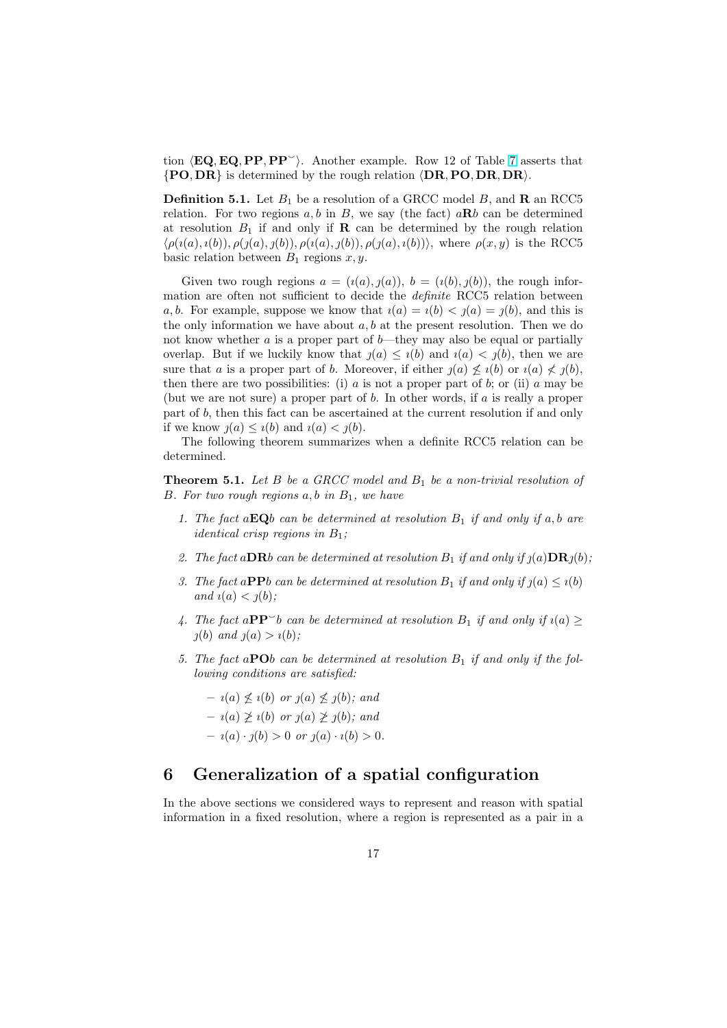tion  $\langle \mathbf{EQ}, \mathbf{EQ}, \mathbf{PP}, \mathbf{PP} \rangle$ . Another example. Row 12 of Table [7](#page-15-0) asserts that  $\{PO, DR\}$  is determined by the rough relation  $\langle DR, PO, DR, DR\rangle$ .

**Definition 5.1.** Let  $B_1$  be a resolution of a GRCC model B, and **R** an RCC5 relation. For two regions  $a, b$  in  $B$ , we say (the fact)  $a\mathbf{R}b$  can be determined at resolution  $B_1$  if and only if **R** can be determined by the rough relation  $\langle \rho(i(a), i(b)), \rho(j(a), j(b)), \rho(i(a), j(b)), \rho(j(a), i(b)) \rangle$ , where  $\rho(x, y)$  is the RCC5 basic relation between  $B_1$  regions  $x, y$ .

Given two rough regions  $a = (i(a), j(a)), b = (i(b), j(b)),$  the rough information are often not sufficient to decide the *definite* RCC5 relation between a, b. For example, suppose we know that  $i(a) = i(b) < j(a) = j(b)$ , and this is the only information we have about  $a, b$  at the present resolution. Then we do not know whether  $\alpha$  is a proper part of  $b$ —they may also be equal or partially overlap. But if we luckily know that  $\chi(a) \leq \chi(b)$  and  $\chi(a) < \chi(b)$ , then we are sure that a is a proper part of b. Moreover, if either  $q(a) \nleq i(b)$  or  $i(a) \nleq j(b)$ , then there are two possibilities: (i) a is not a proper part of b; or (ii) a may be (but we are not sure) a proper part of  $b$ . In other words, if  $a$  is really a proper part of b, then this fact can be ascertained at the current resolution if and only if we know  $\jmath(a) \leq \iota(b)$  and  $\iota(a) < \jmath(b)$ .

The following theorem summarizes when a definite RCC5 relation can be determined.

**Theorem 5.1.** Let  $B$  be a GRCC model and  $B_1$  be a non-trivial resolution of B. For two rough regions  $a, b$  in  $B<sub>1</sub>$ , we have

- 1. The fact  $a\mathbf{EQ}b$  can be determined at resolution  $B_1$  if and only if a, b are *identical crisp regions in*  $B_1$ ;
- 2. The fact aDRb can be determined at resolution  $B_1$  if and only if  $\jmath(a)$ DR $\jmath(b)$ ;
- 3. The fact a**PP**b can be determined at resolution  $B_1$  if and only if  $j(a) \leq i(b)$ and  $i(a) < j(b)$ ;
- 4. The fact a $\mathbf{PP}^{\smile}b$  can be determined at resolution  $B_1$  if and only if  $\iota(a) \geq$  $\jmath(b)$  and  $\jmath(a) > \iota(b)$ ;
- 5. The fact a**PO**b can be determined at resolution  $B_1$  if and only if the following conditions are satisfied:

 $- i(a) \nleq i(b)$  or  $j(a) \nleq j(b)$ ; and  $- i(a) \not\geq i(b)$  or  $j(a) \not\geq j(b)$ ; and  $- i(a) \cdot j(b) > 0 \text{ or } j(a) \cdot i(b) > 0.$ 

### 6 Generalization of a spatial configuration

In the above sections we considered ways to represent and reason with spatial information in a fixed resolution, where a region is represented as a pair in a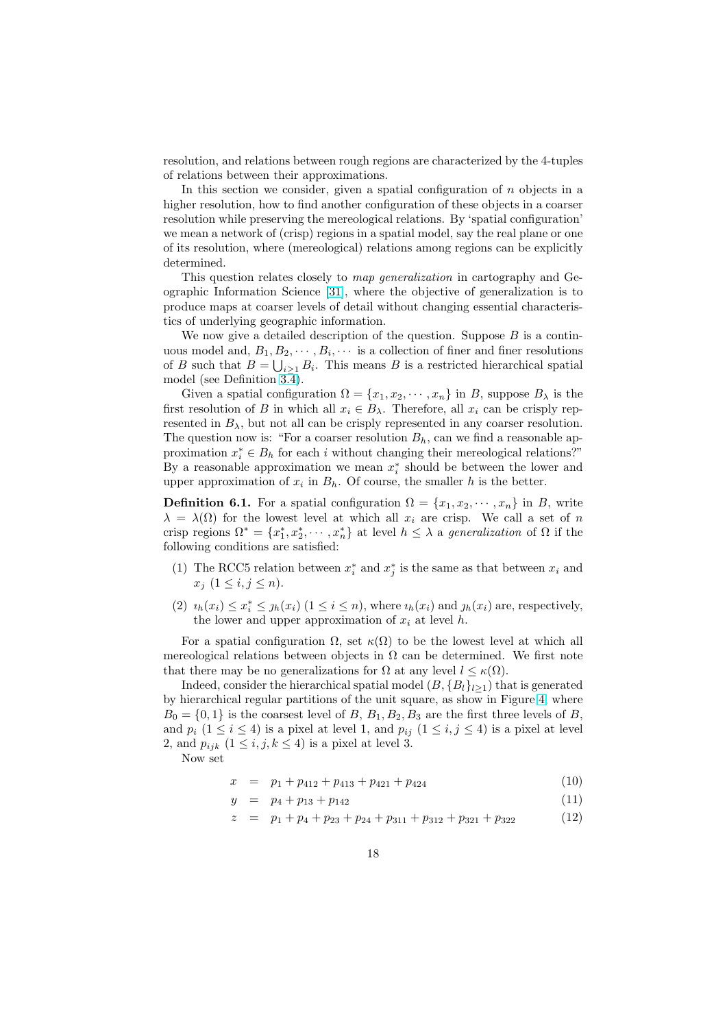resolution, and relations between rough regions are characterized by the 4-tuples of relations between their approximations.

In this section we consider, given a spatial configuration of  $n$  objects in a higher resolution, how to find another configuration of these objects in a coarser resolution while preserving the mereological relations. By 'spatial configuration' we mean a network of (crisp) regions in a spatial model, say the real plane or one of its resolution, where (mereological) relations among regions can be explicitly determined.

This question relates closely to map generalization in cartography and Geographic Information Science [\[31\]](#page-23-0), where the objective of generalization is to produce maps at coarser levels of detail without changing essential characteristics of underlying geographic information.

We now give a detailed description of the question. Suppose  $B$  is a continuous model and,  $B_1, B_2, \cdots, B_i, \cdots$  is a collection of finer and finer resolutions of B such that  $B = \bigcup_{i \geq 1} B_i$ . This means B is a restricted hierarchical spatial model (see Definition  $3\overline{.}4$ ).

Given a spatial configuration  $\Omega = \{x_1, x_2, \dots, x_n\}$  in B, suppose  $B_\lambda$  is the first resolution of B in which all  $x_i \in B_\lambda$ . Therefore, all  $x_i$  can be crisply represented in  $B_{\lambda}$ , but not all can be crisply represented in any coarser resolution. The question now is: "For a coarser resolution  $B_h$ , can we find a reasonable approximation  $x_i^* \in B_h$  for each i without changing their mereological relations?" By a reasonable approximation we mean  $x_i^*$  should be between the lower and upper approximation of  $x_i$  in  $B_h$ . Of course, the smaller h is the better.

**Definition 6.1.** For a spatial configuration  $\Omega = \{x_1, x_2, \dots, x_n\}$  in B, write  $\lambda = \lambda(\Omega)$  for the lowest level at which all  $x_i$  are crisp. We call a set of n crisp regions  $\Omega^* = \{x_1^*, x_2^*, \cdots, x_n^*\}$  at level  $h \leq \lambda$  a *generalization* of  $\Omega$  if the following conditions are satisfied:

- (1) The RCC5 relation between  $x_i^*$  and  $x_j^*$  is the same as that between  $x_i$  and  $x_j$   $(1 \le i, j \le n)$ .
- (2)  $i_h(x_i) \leq x_i^* \leq j_h(x_i)$   $(1 \leq i \leq n)$ , where  $i_h(x_i)$  and  $j_h(x_i)$  are, respectively, the lower and upper approximation of  $x_i$  at level h.

For a spatial configuration  $\Omega$ , set  $\kappa(\Omega)$  to be the lowest level at which all mereological relations between objects in  $\Omega$  can be determined. We first note that there may be no generalizations for  $\Omega$  at any level  $l \leq \kappa(\Omega)$ .

Indeed, consider the hierarchical spatial model  $(B, {B_l}_{l\geq 1})$  that is generated by hierarchical regular partitions of the unit square, as show in Figure [4,](#page-18-0) where  $B_0 = \{0, 1\}$  is the coarsest level of B,  $B_1, B_2, B_3$  are the first three levels of B. and  $p_i$   $(1 \le i \le 4)$  is a pixel at level 1, and  $p_{ij}$   $(1 \le i, j \le 4)$  is a pixel at level 2, and  $p_{ijk}$   $(1 \leq i, j, k \leq 4)$  is a pixel at level 3.

Now set

$$
x = p_1 + p_{412} + p_{413} + p_{421} + p_{424} \tag{10}
$$

$$
y = p_4 + p_{13} + p_{142} \tag{11}
$$

$$
z = p_1 + p_4 + p_{23} + p_{24} + p_{311} + p_{312} + p_{321} + p_{322}
$$
 (12)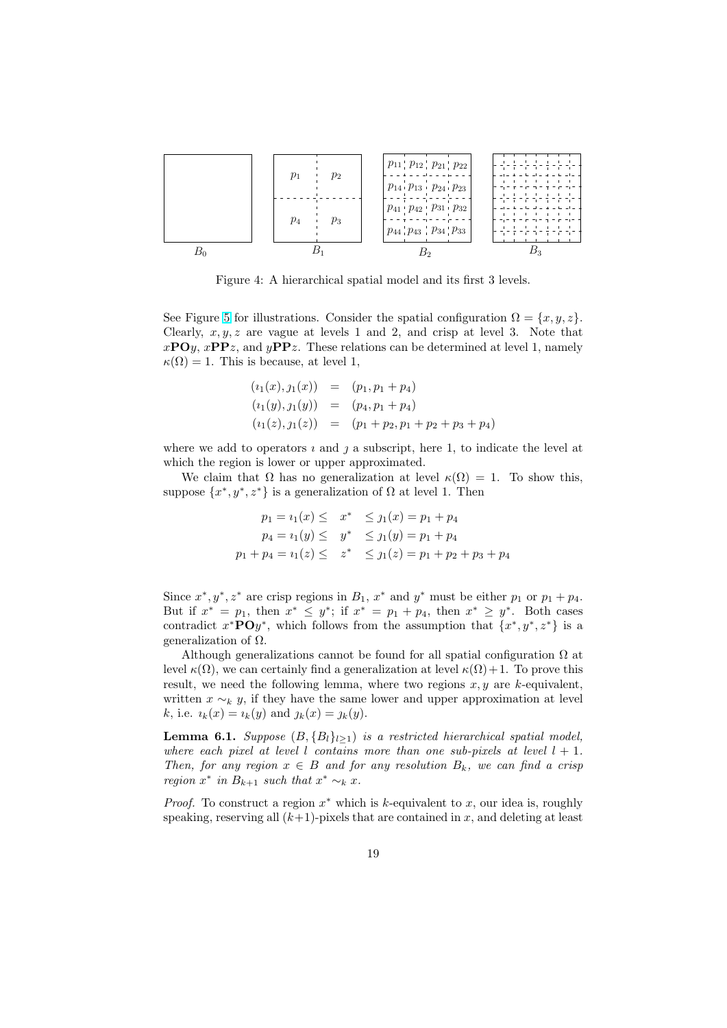<span id="page-18-0"></span>

Figure 4: A hierarchical spatial model and its first 3 levels.

See Figure [5](#page-19-0) for illustrations. Consider the spatial configuration  $\Omega = \{x, y, z\}.$ Clearly,  $x, y, z$  are vague at levels 1 and 2, and crisp at level 3. Note that  $xPOy$ ,  $xPPz$ , and  $yPPz$ . These relations can be determined at level 1, namely  $\kappa(\Omega) = 1$ . This is because, at level 1,

$$
(i_1(x), j_1(x)) = (p_1, p_1 + p_4)
$$
  
\n
$$
(i_1(y), j_1(y)) = (p_4, p_1 + p_4)
$$
  
\n
$$
(i_1(z), j_1(z)) = (p_1 + p_2, p_1 + p_2 + p_3 + p_4)
$$

where we add to operators  $\imath$  and  $\jmath$  a subscript, here 1, to indicate the level at which the region is lower or upper approximated.

We claim that  $\Omega$  has no generalization at level  $\kappa(\Omega) = 1$ . To show this, suppose  $\{x^*, y^*, z^*\}$  is a generalization of  $\Omega$  at level 1. Then

$$
p_1 = i_1(x) \leq x^* \leq j_1(x) = p_1 + p_4
$$
  
\n
$$
p_4 = i_1(y) \leq y^* \leq j_1(y) = p_1 + p_4
$$
  
\n
$$
p_1 + p_4 = i_1(z) \leq z^* \leq j_1(z) = p_1 + p_2 + p_3 + p_4
$$

Since  $x^*, y^*, z^*$  are crisp regions in  $B_1, x^*$  and  $y^*$  must be either  $p_1$  or  $p_1 + p_4$ . But if  $x^* = p_1$ , then  $x^* \leq y^*$ ; if  $x^* = p_1 + p_4$ , then  $x^* \geq y^*$ . Both cases contradict  $x^* \mathbf{PO} y^*$ , which follows from the assumption that  $\{x^*, y^*, z^*\}$  is a generalization of Ω.

Although generalizations cannot be found for all spatial configuration  $\Omega$  at level  $κ(Ω)$ , we can certainly find a generalization at level  $κ(Ω) + 1$ . To prove this result, we need the following lemma, where two regions  $x, y$  are k-equivalent, written  $x \sim_k y$ , if they have the same lower and upper approximation at level k, i.e.  $i_k(x) = i_k(y)$  and  $j_k(x) = j_k(y)$ .

**Lemma 6.1.** Suppose  $(B, \{B_l\}_{l\geq1})$  is a restricted hierarchical spatial model, where each pixel at level l contains more than one sub-pixels at level  $l + 1$ . Then, for any region  $x \in B$  and for any resolution  $B_k$ , we can find a crisp region  $x^*$  in  $B_{k+1}$  such that  $x^* \sim_k x$ .

*Proof.* To construct a region  $x^*$  which is k-equivalent to x, our idea is, roughly speaking, reserving all  $(k+1)$ -pixels that are contained in x, and deleting at least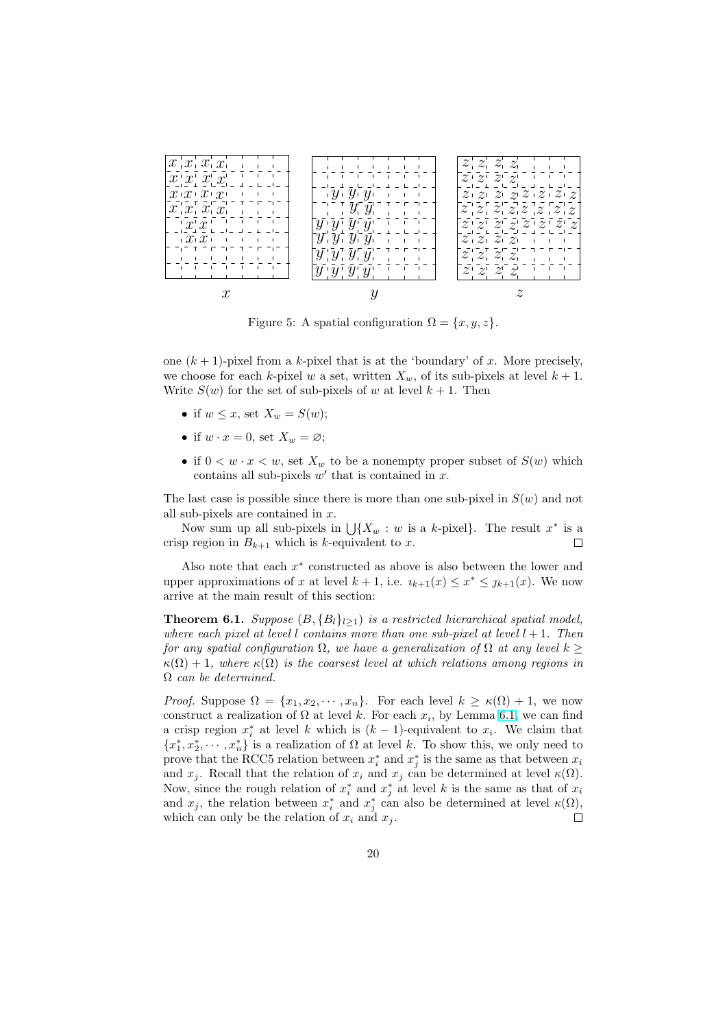<span id="page-19-0"></span>

Figure 5: A spatial configuration  $\Omega = \{x, y, z\}.$ 

one  $(k + 1)$ -pixel from a k-pixel that is at the 'boundary' of x. More precisely, we choose for each k-pixel w a set, written  $X_w$ , of its sub-pixels at level  $k + 1$ . Write  $S(w)$  for the set of sub-pixels of w at level  $k + 1$ . Then

- if  $w \leq x$ , set  $X_w = S(w)$ ;
- if  $w \cdot x = 0$ , set  $X_w = \emptyset$ ;
- if  $0 \lt w \cdot x \lt w$ , set  $X_w$  to be a nonempty proper subset of  $S(w)$  which contains all sub-pixels  $w'$  that is contained in  $x$ .

The last case is possible since there is more than one sub-pixel in  $S(w)$  and not all sub-pixels are contained in  $x$ .

sub-pixels are contained in x.<br>Now sum up all sub-pixels in  $\bigcup \{X_w : w \text{ is a } k\text{-pixel}\}\.$  The result  $x^*$  is a crisp region in  $B_{k+1}$  which is k-equivalent to x.  $\Box$ 

Also note that each  $x^*$  constructed as above is also between the lower and upper approximations of x at level  $k + 1$ , i.e.  $u_{k+1}(x) \leq x^* \leq y_{k+1}(x)$ . We now arrive at the main result of this section:

**Theorem 6.1.** Suppose  $(B, \{B_l\}_{l>1})$  is a restricted hierarchical spatial model, where each pixel at level l contains more than one sub-pixel at level  $l + 1$ . Then for any spatial configuration  $\Omega$ , we have a generalization of  $\Omega$  at any level  $k \geq$  $\kappa(\Omega) + 1$ , where  $\kappa(\Omega)$  is the coarsest level at which relations among regions in  $\Omega$  can be determined.

*Proof.* Suppose  $\Omega = \{x_1, x_2, \dots, x_n\}$ . For each level  $k \geq \kappa(\Omega) + 1$ , we now construct a realization of  $\Omega$  at level k. For each  $x_i$ , by Lemma [6.1,](#page-18-0) we can find a crisp region  $x_i^*$  at level k which is  $(k-1)$ -equivalent to  $x_i$ . We claim that  ${x_1^*, x_2^*, \cdots, x_n^*}$  is a realization of  $\Omega$  at level k. To show this, we only need to prove that the RCC5 relation between  $x_i^*$  and  $x_j^*$  is the same as that between  $x_i$ and  $x_j$ . Recall that the relation of  $x_i$  and  $x_j$  can be determined at level  $\kappa(\Omega)$ . Now, since the rough relation of  $x_i^*$  and  $x_j^*$  at level k is the same as that of  $x_i$ and  $x_j$ , the relation between  $x_i^*$  and  $x_j^*$  can also be determined at level  $\kappa(\Omega)$ , which can only be the relation of  $x_i$  and  $x_j$ .  $\Box$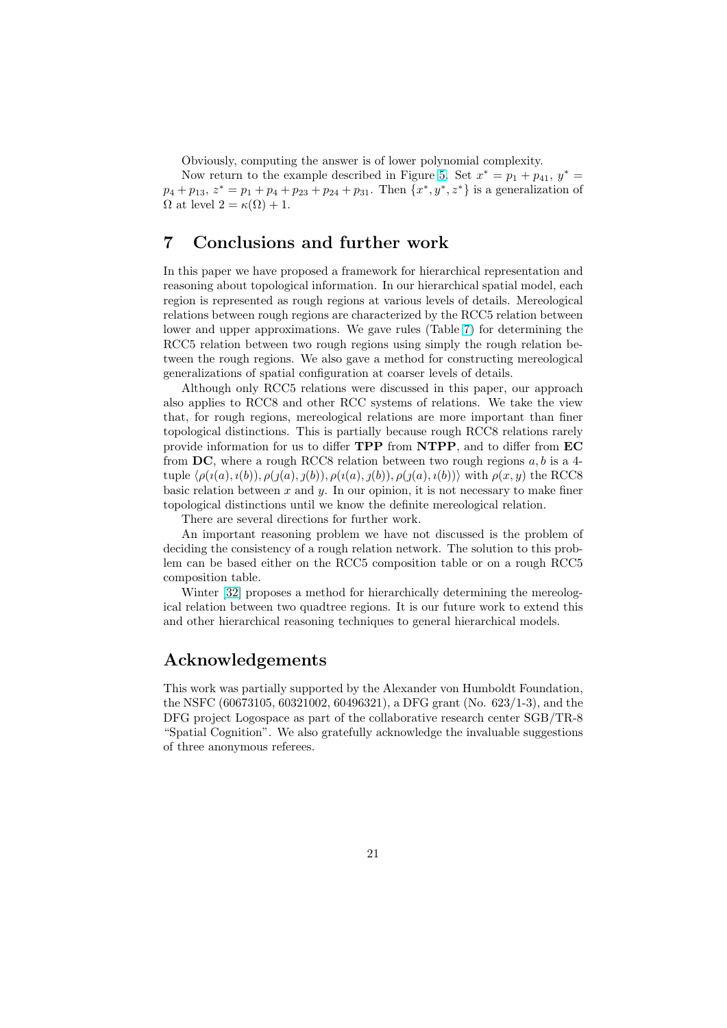Obviously, computing the answer is of lower polynomial complexity.

Now return to the example described in Figure [5.](#page-19-0) Set  $x^* = p_1 + p_{41}, y^* =$  $p_4 + p_{13}, z^* = p_1 + p_4 + p_{23} + p_{24} + p_{31}$ . Then  $\{x^*, y^*, z^*\}$  is a generalization of  $\Omega$  at level  $2 = \kappa(\Omega) + 1$ .

### 7 Conclusions and further work

In this paper we have proposed a framework for hierarchical representation and reasoning about topological information. In our hierarchical spatial model, each region is represented as rough regions at various levels of details. Mereological relations between rough regions are characterized by the RCC5 relation between lower and upper approximations. We gave rules (Table [7\)](#page-15-0) for determining the RCC5 relation between two rough regions using simply the rough relation between the rough regions. We also gave a method for constructing mereological generalizations of spatial configuration at coarser levels of details.

Although only RCC5 relations were discussed in this paper, our approach also applies to RCC8 and other RCC systems of relations. We take the view that, for rough regions, mereological relations are more important than finer topological distinctions. This is partially because rough RCC8 relations rarely provide information for us to differ TPP from NTPP, and to differ from EC from DC, where a rough RCC8 relation between two rough regions  $a, b$  is a 4tuple  $\langle \rho(i(a), i(b)), \rho(j(a), j(b)), \rho(i(a), j(b)), \rho(j(a), i(b)) \rangle$  with  $\rho(x, y)$  the RCCS basic relation between  $x$  and  $y$ . In our opinion, it is not necessary to make finer topological distinctions until we know the definite mereological relation.

There are several directions for further work.

An important reasoning problem we have not discussed is the problem of deciding the consistency of a rough relation network. The solution to this problem can be based either on the RCC5 composition table or on a rough RCC5 composition table.

Winter [\[32\]](#page-23-0) proposes a method for hierarchically determining the mereological relation between two quadtree regions. It is our future work to extend this and other hierarchical reasoning techniques to general hierarchical models.

### Acknowledgements

This work was partially supported by the Alexander von Humboldt Foundation, the NSFC (60673105, 60321002, 60496321), a DFG grant (No. 623/1-3), and the DFG project Logospace as part of the collaborative research center SGB/TR-8 "Spatial Cognition". We also gratefully acknowledge the invaluable suggestions of three anonymous referees.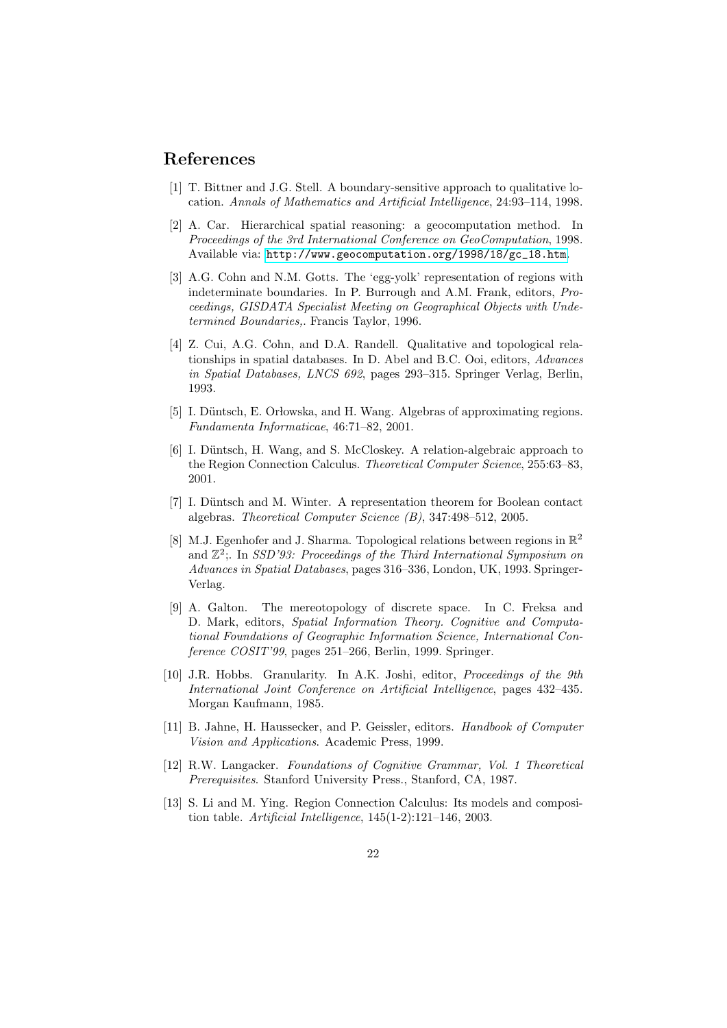### <span id="page-21-0"></span>References

- [1] T. Bittner and J.G. Stell. A boundary-sensitive approach to qualitative location. Annals of Mathematics and Artificial Intelligence, 24:93–114, 1998.
- [2] A. Car. Hierarchical spatial reasoning: a geocomputation method. In Proceedings of the 3rd International Conference on GeoComputation, 1998. Available via: [http://www.geocomputation.org/1998/18/gc\\_18.htm](http://www.geocomputation.org/1998/18/gc_18.htm).
- [3] A.G. Cohn and N.M. Gotts. The 'egg-yolk' representation of regions with indeterminate boundaries. In P. Burrough and A.M. Frank, editors, Proceedings, GISDATA Specialist Meeting on Geographical Objects with Undetermined Boundaries,. Francis Taylor, 1996.
- [4] Z. Cui, A.G. Cohn, and D.A. Randell. Qualitative and topological relationships in spatial databases. In D. Abel and B.C. Ooi, editors, Advances in Spatial Databases, LNCS 692, pages 293–315. Springer Verlag, Berlin, 1993.
- [5] I. Düntsch, E. Orłowska, and H. Wang. Algebras of approximating regions. Fundamenta Informaticae, 46:71–82, 2001.
- [6] I. Düntsch, H. Wang, and S. McCloskey. A relation-algebraic approach to the Region Connection Calculus. Theoretical Computer Science, 255:63–83, 2001.
- [7] I. Düntsch and M. Winter. A representation theorem for Boolean contact algebras. Theoretical Computer Science (B), 347:498–512, 2005.
- [8] M.J. Egenhofer and J. Sharma. Topological relations between regions in  $\mathbb{R}^2$ and  $\mathbb{Z}^2$ ; In SSD'93: Proceedings of the Third International Symposium on Advances in Spatial Databases, pages 316–336, London, UK, 1993. Springer-Verlag.
- [9] A. Galton. The mereotopology of discrete space. In C. Freksa and D. Mark, editors, Spatial Information Theory. Cognitive and Computational Foundations of Geographic Information Science, International Conference COSIT'99, pages 251–266, Berlin, 1999. Springer.
- [10] J.R. Hobbs. Granularity. In A.K. Joshi, editor, *Proceedings of the 9th* International Joint Conference on Artificial Intelligence, pages 432–435. Morgan Kaufmann, 1985.
- [11] B. Jahne, H. Haussecker, and P. Geissler, editors. Handbook of Computer Vision and Applications. Academic Press, 1999.
- [12] R.W. Langacker. Foundations of Cognitive Grammar, Vol. 1 Theoretical Prerequisites. Stanford University Press., Stanford, CA, 1987.
- [13] S. Li and M. Ying. Region Connection Calculus: Its models and composition table. Artificial Intelligence,  $145(1-2)$ :121-146, 2003.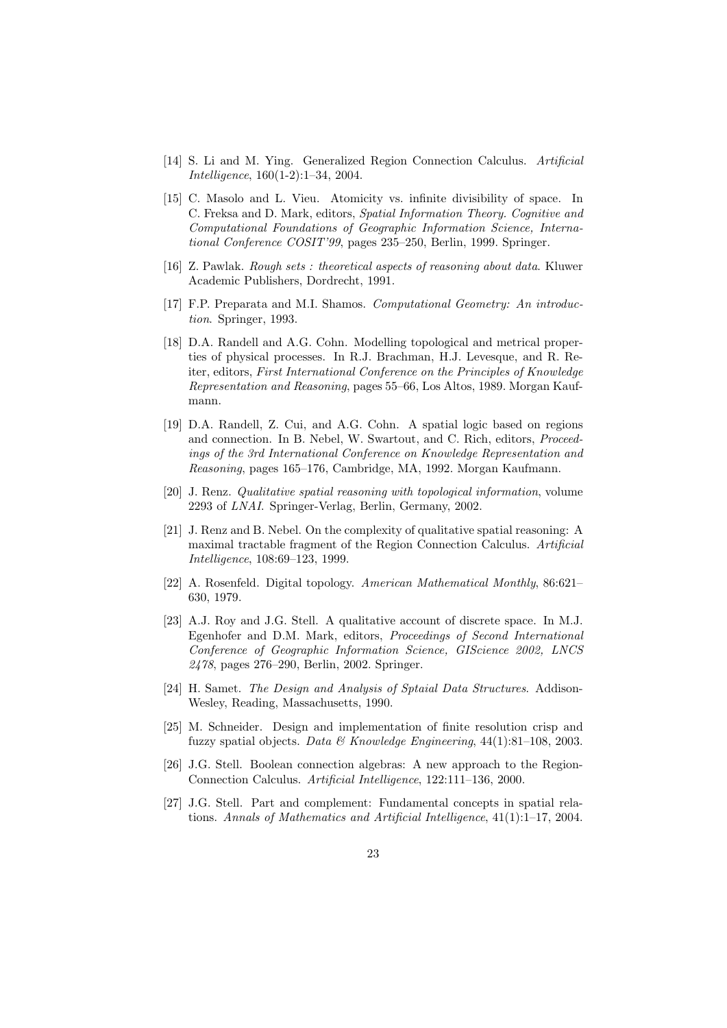- <span id="page-22-0"></span>[14] S. Li and M. Ying. Generalized Region Connection Calculus. Artificial Intelligence, 160(1-2):1–34, 2004.
- [15] C. Masolo and L. Vieu. Atomicity vs. infinite divisibility of space. In C. Freksa and D. Mark, editors, Spatial Information Theory. Cognitive and Computational Foundations of Geographic Information Science, International Conference COSIT'99, pages 235–250, Berlin, 1999. Springer.
- [16] Z. Pawlak. Rough sets : theoretical aspects of reasoning about data. Kluwer Academic Publishers, Dordrecht, 1991.
- [17] F.P. Preparata and M.I. Shamos. Computational Geometry: An introduction. Springer, 1993.
- [18] D.A. Randell and A.G. Cohn. Modelling topological and metrical properties of physical processes. In R.J. Brachman, H.J. Levesque, and R. Reiter, editors, First International Conference on the Principles of Knowledge Representation and Reasoning, pages 55–66, Los Altos, 1989. Morgan Kaufmann.
- [19] D.A. Randell, Z. Cui, and A.G. Cohn. A spatial logic based on regions and connection. In B. Nebel, W. Swartout, and C. Rich, editors, Proceedings of the 3rd International Conference on Knowledge Representation and Reasoning, pages 165–176, Cambridge, MA, 1992. Morgan Kaufmann.
- [20] J. Renz. Qualitative spatial reasoning with topological information, volume 2293 of LNAI. Springer-Verlag, Berlin, Germany, 2002.
- [21] J. Renz and B. Nebel. On the complexity of qualitative spatial reasoning: A maximal tractable fragment of the Region Connection Calculus. Artificial Intelligence, 108:69–123, 1999.
- [22] A. Rosenfeld. Digital topology. American Mathematical Monthly, 86:621– 630, 1979.
- [23] A.J. Roy and J.G. Stell. A qualitative account of discrete space. In M.J. Egenhofer and D.M. Mark, editors, Proceedings of Second International Conference of Geographic Information Science, GIScience 2002, LNCS 2478, pages 276–290, Berlin, 2002. Springer.
- [24] H. Samet. The Design and Analysis of Sptaial Data Structures. Addison-Wesley, Reading, Massachusetts, 1990.
- [25] M. Schneider. Design and implementation of finite resolution crisp and fuzzy spatial objects. Data & Knowledge Engineering,  $44(1):81-108$ ,  $2003$ .
- [26] J.G. Stell. Boolean connection algebras: A new approach to the Region-Connection Calculus. Artificial Intelligence, 122:111–136, 2000.
- [27] J.G. Stell. Part and complement: Fundamental concepts in spatial relations. Annals of Mathematics and Artificial Intelligence, 41(1):1–17, 2004.